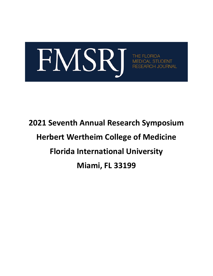

**THE FLOI** JOURNAL

# **2021 Seventh Annual Research Symposium Herbert Wertheim College of Medicine Florida International University Miami, FL 33199**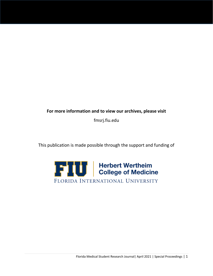### **For more information and to view our archives, please visit**

fmsrj.fiu.edu

This publication is made possible through the support and funding of

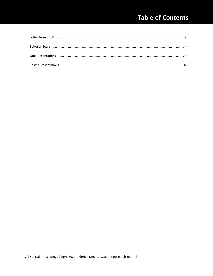# **Table of Contents**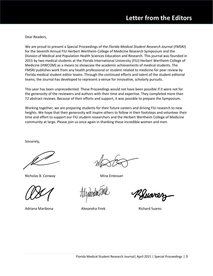Dear Readers,

We are proud to present a Special Proceedings of the *Florida Medical Student Research Journal* (*FMSRJ*) for the Seventh Annual FIU Herbert Wertheim College of Medicine Research Symposium and the Division of Medical and Population Health Sciences Education and Research. This journal was founded in 2015 by two medical students at the Florida International University (FIU) Herbert Wertheim College of Medicine (HWCOM) as a means to showcase the academic achievements of medical students. The *FMSRJ* publishes work from any health professional or student related to medicine for peer review by Florida medical student editor teams. Through the continued efforts and talent of the student editorial teams, the Journal has developed to represent a venue for innovative, scholarly pursuits.

This year has been unprecedented. These Proceedings would not have been possible if it were not for the generosity of the reviewers and authors with their time and expertise. They completed more than 72 abstract reviews. Because of their efforts and support, it was possible to prepare the Symposium.

Working together, we are preparing students for their future careers and driving FIU research to new heights. We hope that their generosity will inspire others to follow in their footsteps and volunteer their time and effort to support our FIU student researchers and the Herbert Wertheim College of Medicine community at large. Please join us once again in thanking these incredible women and men.

Sincerely,

Í

Nicholas B. Conway Mina Entessari

Adriana Maribona Alexandra Firek Richard Suarez

Kuarez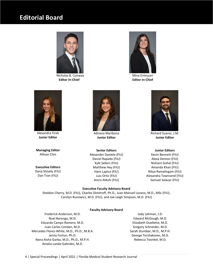# **Editorial Board**



Nicholas B. Conway **Mina Entessari** Mina Entessari  **Editor In-Chief Editor In-Chief**





Alexandra Firek **Junior Editor**

**Managing Editor** Allison Chin

**Executive Editors** Dana Shively (FIU) Dan Tran (FIU)



Adriana Maribona **Junior Editor**

**Senior Editors** Alexander Daniele (FIU) Daniel Rapado (FIU) Kyle Sellers (FIU) Matthew Hey (FIU) Hans Lapica (FIU) Luis Ortiz (FIU) Amro AlAshi (FIU)

#### **Executive Faculty Advisory Board**

Sheldon Cherry, M.D. (FIU), Charles Dimitroff, Ph.D., Juan Manuel Lozano, M.D., MSc (FIU), Carolyn Runowicz, M.D. (FIU), and Joe Leigh Simpson, M.D. (FIU)

#### **Faculty Advisory Board**

Frederick Anderson, M.D. Noel Barengo, M.D. Eduardo Camps-Romero, M.D. Juan Carlos Cendan, M.D. Mercedes Florez-White, M.D., Ph.D., M.B.A. Jenny Fortun, Ph.D. Nana Aisha Garba, M.D., Ph.D., M.P.H. Amalia Landa-Galindez, M.D.

Jody Lehman, J.D. Edward McGough, M.D. Elizabeth Ouellette, M.D. Gregory Schneider, M.D. Sarah Stumbar, M.D., M.P.H. George Tershakovec, M.D. Rebecca Toonkel, M.D.



Richard Suarez, J.M. **Junior Editor**

#### **Junior Editors**

Kevin Bennett (FIU) Alexa Denton (FIU) Nishant Gohel (FIU) Amanda Khan (FIU) Nitya Ramalingam (FIU) Alexandra Townsend (FIU) Samuel Salazar (FIU)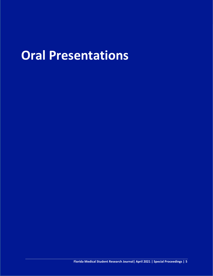# **Oral Presentations**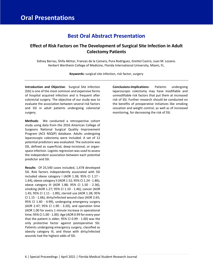## **Best Oral Abstract Presentation**

### **Effect of Risk Factors on The Development of Surgical Site Infection in Adult Colectomy Patients**

Sidney Barrau, Shifa Akhtar, Frances de la Camara, Pura Rodriguez, Grettel Castro, Juan M. Lozano. Herbert Wertheim College of Medicine, Florida International University, Miami, FL.

**Keywords:** surgical site infection, risk factor, surgery

**Introduction and Objective**: Surgical Site Infection (SSI) is one of the most common and expensive forms of hospital acquired infection and is frequent after colorectal surgery. The objective of our study was to evaluate the association between several risk factors and SSI in adult patients undergoing colorectal surgery.

**Methods**: We conducted a retrospective cohort study using data from the 2016 American College of Surgeons National Surgical Quality Improvement Program (ACS NSQIP) database. Adults undergoing laparoscopic colectomy were included. A set of 12 potential predictors was evaluated. The outcome was SSI, defined as superficial, deep-incisional, or organspace infection. Logistic regression was used to assess the independent association between each potential predictor and SSI.

**Results**: Of 25,540 cases included, 1,478 developed SSI. Risk factors independently associated with SSI included obese category I (AOR 1.38; 95% CI 1.17 - 1.64), obese category II (AOR 1.52; 95% CI 1.24 - 1.86), obese category III (AOR 1.88; 95% CI 1.50 - 2.36), smoking (AOR 1.27; 95% CI 1.10 - 1.46), cancer (AOR 1.45; 95% CI 1.11 - 1.89), steroid use (AOR 1.38; 95% CI 1.15 - 1.66), dirty/infected wound class (AOR 2.65; 95% CI 1.40 - 4.99), undergoing emergency surgery (AOR 2.47; 95% CI 1.90 - 3.20), and operation time (AOR 1.00 for every 1 minute increase in operational time; 95% CI 1.00 - 1.00). Age (AOR 0.99 for every year that the patient is older; 95% CI 0.99 - 1.00) was the only protective factor against postoperative SSI. Patients undergoing emergency surgery, classified as obesity category III, and those with dirty/infected wounds had the highest odds of SSI.

**Conclusions-Implications**: Patients undergoing laparoscopic colectomy may have modifiable and unmodifiable risk factors that put them at increased risk of SSI. Further research should be conducted on the benefits of preoperative initiatives like smoking cessation and weight control, as well as of increased monitoring, for decreasing the risk of SSI.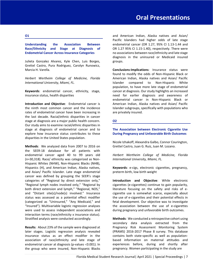**O1**

#### **Understanding the Association Between Race/Ethnicity and Stage at Diagnosis of Endometrial Cancer Across Insurance Categories**

Julieta Gonzalez Alvarez, Kyle Chen, Luis Borges, Grettel Castro, Pura Rodriguez, Carolyn Runowicz, Marcia H. Varella.

*Herbert Wertheim College of Medicine, Florida International University, Miami, FL.*

**Keywords**: endometrial cancer, ethnicity, stage, insurance status, health disparities

**Introduction and Objective**: Endometrial cancer is the ninth most common cancer and the incidence rates of endometrial cancer have been increasing in the last decade. Racial/ethnic disparities in cancer stage at diagnosis are a major public health concern. Our study aims to examine racial/ethnic disparities in stage at diagnosis of endometrial cancer and to explore how insurance status contributes to these disparities in the United States population.

**Methods**: We analyzed data from 2007 to 2016 on the SEER-18 database for all patients with endometrial cancer aged 40 to 99 years old (n=30,318). Race/ ethnicity was categorized as Non-Hispanic Whites (NHW), Non-Hispanic Blacks (NHB), Hispanics (H), and American Indian, Alaska natives, and Asian/ Pacific Islander. Late stage endometrial cancer was defined by grouping the SEER's stage categories of "Regional by direct extension only," "Regional lymph nodes involved only," "Regional by both direct extension and lymph," "Regional, NOS," and "Distant site(s)/node(s) involved." Insurance status was assessed as a potential effect modifier (categorized as "Uninsured," "Any Medicaid," and "Insured"). Multivariable logistic regression analyses were used to assess independent associations and interaction terms (race/ethnicity x insurance status). Stratified analysis were conducted accordingly.

**Results**: About 23% of the sample were diagnosed at later stages. Logistic regression analysis revealed insurance status as an effect modifier in the association of race/ethnicity and late stage of endometrial cancer at diagnosis (p-values  $<$ 0.001). In the group who were insured, Non-Hispanic Blacks and American Indian, Alaska natives and Asian/ Pacific Islanders had higher odds of late stage endometrial cancer (OR 1.27, 95% CI 1.13-1.44 and OR 1.27 95% CI 1.15-1.40), respectively. There were no associations between race/ethnicity and late stage diagnosis in the uninsured or Medicaid insured groups.

**Conclusions-Implications**: Insurance status were found to modify the odds of Non-Hispanic Black or American Indian, Alaska natives and Asian/ Pacific Islander compared to Non-Hispanic White population, to have more late stage of endometrial cancer at diagnosis. Our study highlights an increased need for earlier diagnosis and awareness of endometrial cancer in Non-Hispanic Black or American Indian, Alaska natives and Asian/ Pacific Islander subgroups, specifically with populations who are privately insured.

#### **O2**

#### **The Association between Electronic Cigarette Use During Pregnancy and Unfavorable Birth Outcomes**

Nicole Izhakoff, Alexandra Galbo, Connor Courington, Grettel Castro, Juan G. Ruiz, Juan M. Lozano.

*Herbert Wertheim College of Medicine, Florida International University, Miami, FL.*

**Keywords**: e-cigs, electronic cigarettes, pregnancy, preterm birth, low birth weight

**Introduction and Objective**: While electronic cigarettes (e-cigarettes) continue to gain popularity, literature focusing on the safety and risks of ecigarette use is somewhat scarce, especially about the use of e-cigarettes and their potential effects in fetal development. Our objective was to investigate the association between the use of e-cigarettes during pregnancy and unfavorable birth outcomes.

**Methods**: We conducted a retrospective cohort using secondary data analysis extracted from the Pregnancy Risk Assessment Monitoring System (PRAMS) 2016-2017 Phase 8 survey. This database contains both state-specific as well as populationbased information on maternal attitudes and experiences before, during and shortly after pregnancy. Women participating in the study are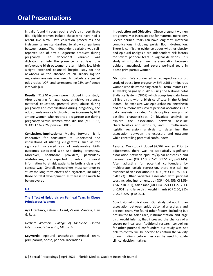initially found through each state's birth certificate file. Eligible women include those who have had a recent live birth. Data collection procedures and instruments are standardized to allow comparisons between states. The independent variable was selfreported use of any e- cigarette products during pregnancy. The dependent variable was dichotomized into the presence of at least one unfavorable birth outcome (preterm birth, low birth weight, extended postnatal hospital stay for the newborn) or the absence of all. Binary logistic regression analysis was used to calculate adjusted odds ratios (aOR) and corresponding 95% confidence intervals (CI).

**Results**: 71,940 women were included in our study. After adjusting for age, race, ethnicity, insurance, maternal education, prenatal care, abuse during pregnancy and complications during pregnancy, the odds of unfavorable birth outcomes increases by 62% among women who reported e-cigarette use during pregnancy versus women who did not (aOR 1.62, 95%CI 1.16- 2.26, p-value 0.005)

**Conclusions-Implications**: Moving forward, it is imperative for consumers to understand the implications of utilizing e-cigarettes, such as the significant increased risk of unfavorable birth outcomes associated with use during pregnancy. Moreover, healthcare providers, particularly obstetricians, are expected to relay this novel information to at risk patients in both a clear and concise way. Overall, researchers must continue to study the long-term effects of e-cigarettes, including those on fetal development, as there is still much to be uncovered.

#### **O3**

**The Effect of Epidurals on Perineal Tears in Obese Primiparous Women**

Aya Eltantawy, Kelsea R. Grant, Valeria Mantilla, Juan G. Ruiz.

*Herbert Wertheim College of Medicine, Florida International University, Miami, FL.*

**Keywords**: epidural anesthesia, perineal tears, primiparous, obese, perineal lacerations

**Introduction and Objective**: Obese pregnant women are generally at increased risk for maternal morbidity. Severe perineal tears can have long-term maternal complications including pelvic floor dysfunction. There is conflicting evidence about whether obesity and epidural analgesia are independent risk factors for severe perineal tears in vaginal deliveries. This study aims to determine the association between epidural anesthesia and severe perineal tears in obese primiparous women.

**Methods**: We conducted a retrospective cohort study of obese (pre-pregnancy BMI ≥ 30) primiparous women who delivered singleton full term infants (39- 40 weeks) vaginally in 2018 using the National Vital Statistics System (NVSS) which comprises data from all live births with a birth certificate in the United States. The exposure was epidural/spinal anesthesia and the outcome was severe perineal lacerations. Our data analysis included 1) descriptive analysis of baseline characteristics, 2) bivariate analysis to explore the association between baseline characteristics and exposure, and 3) multivariate logistic regression analysis to determine the association between the exposure and outcome while controlling potential confounders.

**Results**: Our study included 92,562 women. Prior to adjustment, there was no statistically significant association between epidural/spinal anesthesia and perineal tears (OR 1.10, 95%CI 0.97-1.26, p=0.145). After adjusting for potential confounders by multivariate logistic regression, there was still no evidence of an association (OR 0.90, 95%CI 0.78-1.03, p=0.123). Other variables associated with perineal tears included instrumentation (OR 4.04, 95% CI 3.59- 4.56, p<0.001), Asian race (OR 1.64, 95% CI 1.27-2.13, p<0.001), and large birthweight infants (OR 2.60, 95% CI 2.28-2.97, p<0.001).

**Conclusions-Implications**: Our study did not find an association between epidural/spinal anesthesia and perineal tears. We found other factors, including but not limited to, Asian race, instrumentation, and large birthweight infants, that increased the chances of a severe perineal tear. Additional research controlling for other potential confounders our study was not able to control will be needed to confirm the validity of our findings before they can be used to guide clinical decision making.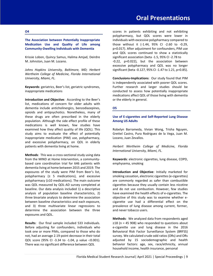#### Florida Medical Student Research Journal| April 2021 | Special Proceedings | 9

## **Oral Presentations**

**The Association between Potentially Inappropriate Medication Use and Quality of Life among Community-Dwelling Individuals with Dementia**

Krissie Lobon, Quincy Samus, Halima Amjad, Deirdre M. Johnston, Juan M. Lozano.

*Johns Hopkins University, Baltimore, MD; Herbert Wertheim College of Medicine, Florida International University, Miami, FL.*

**Keywords**: geriatrics, Beer's list, geriatric syndromes, inappropriate medications

**Introduction and Objective**: According to the Beer's list, medications of concern for older adults with dementia include anticholinergics, benzodiazepines, opioids and antipsychotics. Nonetheless, many of these drugs are often prescribed in the elderly population. Although the side effect profile of these medications is well known, few studies have examined how they affect quality of life (QOL). This study aims to evaluate the effect of potentially inappropriate medication (PIM) use, polypharmacy, and excessive polypharmacy, on QOL in elderly patients with dementia living at home.

**Methods**: This was a cross-sectional study using data from the MIND at Home Intervention, a communitybased care coordination trial for 646 patients with dementia living at home between 2015 and 2019. The exposures of the study were PIM from Beer's list, polypharmacy  $(≥ 5$  medications), and excessive polypharmacy (≥10 medications). The main outcome was QOL measured by QOL-AD survey completed at baseline. Our data analysis included 1) a descriptive analysis of population baseline characteristics, 2) three bivariate analysis to determine the association between baseline characteristics and each exposure, and 3) three multivariate linear regressions to determine the association between the three exposures and QOL.

**Results**: Our final sample included 533 individuals. Before adjusting for confounders, individuals who took one or more PIMs, compared to those who do not, had an average 2.19-point decrease in their total QOL score (95% CI -3.34 to -1.04, p value <0.001). There was no significant difference between QOL

scores in patients exhibiting and not exhibiting polypharmacy, but QOL scores were lower in individuals with excessive polypharmacy compared to those without it (-1.44, 95% CI -2.60 to -0.29, p=0.017). After adjustment for confounders, PIM use and QOL scores continued to show a statistically significant association (beta -1.5, 95% CI -2.78 to -0.22, p=0.022), but the association between excessive polypharmacy and QOL was no longer significant (beta -0.127, 95% CI -1.47 to 1.21, p=0.85).

**Conclusions-Implications**: Our study found that PIM is independently associated with poorer QOL scores. Further research and larger studies should be conducted to assess how potentially inappropriate medications affect QOL of those living with dementia or the elderly in general.

#### **O5**

#### **Use of E-cigarettes and Self-Reported Lung Disease Among US Adults**

Robelyn Barrameda, Vivian Wong, Trisha Nguyen, Grettel Castro, Pura Rodriguez de la Vega, Juan M. Lozano, Juan Zevallos.

*Herbert Wertheim College of Medicine, Florida International University, Miami, FL.*

**Keywords**: electronic cigarettes, lung disease, COPD, emphysema, smoking

**Introduction and Objective**: Initially marketed for smoking cessation, electronic cigarettes (e-cigarettes) are commonly regarded as safer than combustible cigarettes because they usually contain less nicotine and do not use combustion. However, few studies have examined the health effects of e-cigarettes. The objective of this study was to examine whether ecigarette use had a differential effect on the prevalence of lung disease among current, former, and never tobacco users.

**Methods**: We analyzed data from respondents aged  $\geq$ 18 (n = 45 908) who responded to questions about e-cigarette use and lung disease in the 2016 Behavioral Risk Factor Surveillance System (BRFSS) survey. We calculated crude odd ratios (ORs) and ORs adjusted by 15 sociodemographic and health behavior factors: age, sex, race/ethnicity, annual household income, health insurance, personal

#### **O4**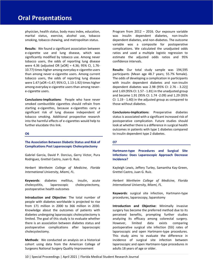physician, health status, body mass index, education, marital status, exercise, alcohol use, tobacco smoking, tobacco chewing, and metropolitan status.

**Results**: We found a significant association between e-cigarette use and lung disease, which was significantly modified by tobacco use. Among never tobacco users, the odds of reporting lung disease were 4.36 (adjusted OR [aOR] = 4.36; 95% CI, 1.76- 10.77) times higher among everyday e-cigarette users than among never e-cigarette users. Among current tobacco users, the odds of reporting lung disease were 1.47 (aOR =1.47; 95% CI, 1.13-1.92) times higher among everyday e-cigarette users than among nevere-cigarette users.

**Conclusions-Implications**: People who have never smoked combustible cigarettes should refrain from starting e-cigarettes, because e-cigarettes carry a significant risk of lung disease independent of tobacco smoking. Additional prospective research into the harmful effects of e-cigarettes would help to further elucidate this link.

#### **O6**

**The Association Between Diabetic Status and Risk of Complications Post Laparoscopic Cholecystectomy**

Gabriel Garcia, David P. Dorcius, Gerry Victor, Pura Rodriguez, Grettel Castro, Juan G. Ruiz.

*Herbert Wertheim College of Medicine, Florida International University, Miami, FL.*

**Keywords**: diabetes mellitus, insulin, acute cholecystitis, laparoscopic cholecystectomy, postoperative health outcomes

**Introduction and Objective**: The total number of people with diabetes worldwide is projected to rise from 171 million in 2000 to 366 million in 2030. Knowledge about the outcomes of patients with diabetes undergoing laparoscopic cholecystectomy is limited. The goal of this study is to evaluate whether there is an association between diabetes status and postoperative complications after laparoscopic cholecystectomy.

**Methods**: We conducted an analysis on a historical cohort using data from the American College of Surgeons National Surgery Quality Improvement

Program from 2012 – 2016. Our exposure variable was insulin dependent diabetes, non-insulin dependent diabetes, and non-diabetes. The outcome variable was a composite for postoperative complications. We calculated the unadjusted odds ratios and used a multiple logistic regression to estimate the adjusted odds ratios and 95% confidence intervals.

**Results**: Our total study sample was 194,595 participants (Mean age 48.7 years; 55.7% female). The odds of developing a complication in participants with insulin dependent diabetes and non-insulin dependent diabetes was 2.98 (95% CI: 2.76 - 3.22)] and 1.69 (95% CI: 1.57 - 1.81) in the unadjusted group and became 1.91 (95% CI: 1.74 -2.09) and 1.29 (95% CI: 1.19 - 1.40) in the adjusted group as compared to those without diabetes.

**Conclusions-Implications**: Preoperative diabetes status is associated with a significant increased risk of postoperative complication. Future studies should look at whether there is a difference in surgical health outcomes in patients with type 1 diabetes compared to insulin dependent type 2 diabetes.

#### **O7**

**Hartmann-type Procedures and Surgical Site Infections: Does Laparoscopic Approach Decrease Incidence?**

Kayleigh Lewis, Jeffery Turley, Samantha Kay-Green, Grettel Castro, Juan G. Ruiz.

*Herbert Wertheim College of Medicine, Florida International University, Miami, FL.*

**Keywords**: surgical site infection, Hartmann-type procedures, laparoscopy, laparotomy

**Introduction and Objective**: Minimally invasive surgery has become the preferred method due to its perceived benefits, prompting further studies analyzing its efficacy among colorectal surgery. However, limited data exists comparing postoperative surgical site infection (SSI) rates of laparoscopic and open Hartmann-type procedures. This study aims to evaluate the difference in incidence of surgical site infection between laparoscopic and open Hartmann-type procedures in adults 18 years of age or older.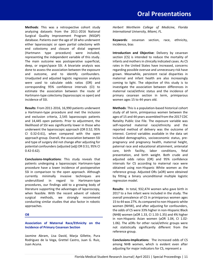**Methods**: This was a retrospective cohort study analyzing datasets from the 2011-2016 National Surgical Quality Improvement Program (NSQIP) database. Patients over the age of 18 who underwent either laparoscopic or open partial colectomy with end colostomy and closure of distal segment (Hartmann type procedure) were included, representing the independent variable of this study. The main outcome was postoperative superficial, deep, or organ/space SSI. A bivariate analysis was done to assess the association between the exposure and outcome, and to identify confounders. Unadjusted and adjusted logistic regression analysis were used to calculate odds ratios (OR) and corresponding 95% confidence intervals (CI) to estimate the association between the route of Hartmann-type colectomy (laparoscopic vs open) and incidence of SSI.

**Results**: From 2011-2016, 16,990 patients underwent a Hartmann-type procedure and met the inclusion and exclusion criteria, 2,545 laparoscopic patients and 14,445 open patients. Prior to adjustment, the likelihood of SSI was significantly lower in those who underwent the laparoscopic approach (OR 0.52; 95% CI 0.32-0.61), when compared with the open approach group. Overall, the association between SSI and type of surgery did not change after adjusting for potential confounders (adjusted (adj) OR 0.51; 95% CI 0.42-0.62).

**Conclusions-Implications**: This study reveals that patients undergoing a laparoscopic Hartmann-type procedure have a lower incidence of postoperative SSI in comparison to the open approach. Although currently minimally invasive techniques are underutilized in regard to Hartmann-type procedures, our findings add to a growing body of literature supporting the advantages of laparoscopy, when feasible. With the recent advent of robotic surgical methods, we strongly recommend conducting similar studies that also factor in robotic approaches.

#### **O8**

#### **Association of Maternal Race/Ethnicity on the Incidence of Primary Cesarean Section**

Jasmine Abram, Lisa David, Marja Gillette, Pura Rodriguez de la Vega, Grettel Castro, Juan G. Ruiz, Juan Acuna.

*Herbert Wertheim College of Medicine, Florida International University, Miami, FL.*

**Keywords**: cesarean section, race, ethnicity, incidence, bias

**Introduction and Objective**: Delivery by cesarean section (CS) is intended to reduce the mortality of infants and mothers in clinically indicated cases. As CS rates in the United States have increased, concerns regarding possible overuse and unnecessary risk have grown. Meanwhile, persistent racial disparities in maternal and infant health are also increasingly coming to light. The objective of this study is to investigate the association between differences in maternal racial/ethnic status and the incidence of primary cesarean section in term, primiparous women ages 15 to 44 years old.

**Methods**: This is a population-based historical cohort study of all term, primiparous women between the ages of 15 and 44 years assembled from the 2017 CDC Natality Public Use File. The exposure variable was self-reported maternal race/ethnicity and the reported method of delivery was the outcome of interest. Control variables available in the data set included demographics, socioeconomic status, prepregnancy and pregnancy health, maternal height, paternal race and educational attainment, antenatal care, birth facility, labor conditions, fetal presentation, and birth weight. Both crude and adjusted odds ratios (OR) and 95% confidence intervals for CS according to maternal race were obtained using non-Hispanic White women as the reference group. Adjusted ORs (aOR) were obtained by fitting a binary unconditional multiple logistic regression model.

**Results**: In total, 932,474 women who gave birth in 2017 to a live infant were included in the study. The overall prevalence of CS in primiparous women ages 15 to 44 was 27%. As compared to non-Hispanic white women (NHW), and after adjusting for confounders, the odds of CS were 33% higher in non-Hispanic Black (NHB) women (aOR 1.33, CI 1.33-1.35) and 4% higher in non-Hispanic Asian women (aOR 1.04, CI 1.02- 1.06). The aORs for other racial/ethnic groups were not statistically significantly different from the reference group.

**Conclusions-Implications**: The increased odds of CS among NHB women, which is evident even after adjusting for major indicators for CS, represent a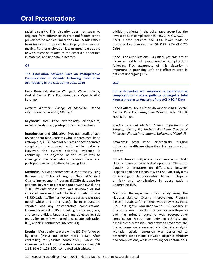# **Oral Presentations**

racial disparity. This disparity does not seem to originate from differences in pre-natal factors or the prevalence of medical indications for CS but rather from implicit and explicit bias in physician decision making. Further exploration is warranted to elucidate how CS might be related to the observed disparities in maternal and neonatal outcomes.

#### **O9**

**The Association between Race on Postoperative Complications in Patients Following Total Knee Arthroplasty in the U.S. during 2011-2016**

Hans Drawbert, Amelia Weingart, William Chang, Grettel Castro, Pura Rodriguez de la Vega, Noël C Barengo.

*Herbert Wertheim College of Medicine, Florida International University, Miami, FL.*

**Keywords**: total knee arthroplasty, orthopedics, racial disparity, race, postoperative complications

**Introduction and Objective**: Previous studies have revealed that Black patients who undergo total knee arthroplasty (TKA) have higher rates of postoperative complications compared with white patients. However, the current scientific evidence is conflicting. The objective of this study was to investigate the associations between race and postoperative complications following TKA.

**Methods**: This was a retrospective cohort study using the American College of Surgeons National Surgical Quality Improvement Program (NSQIP) database for patients 18 years or older and underwent TKA during 2016. Patients whose race was unknown or not indicated were excluded. The final population was 49,930 patients. The main exposure variable was race (Black, white, and other races). The main outcome variable was any postoperative complications. Covariates included BMI, smoking status, age, sex, and comorbidities. Unadjusted and adjusted logistic regression analysis were used to calculate odds ratios (OR) and 95% confidence intervals (CI).

**Results**: Most patients were white (87.5%) followed by Black (9.1%) and other races (3.4%). After controlling for possible confounders, Blacks had increased odds of postoperative complications (OR 1.34; 95% CI 1.19-1.51) compared with whites. In

addition, patients in the other race group had the lowest odds of complication (OR 0.77; 95% CI 0.62- 0.97). Obese patients had 13% lower odds of postoperative complication (OR 0.87; 95% CI 0.77- 0.99).

**Conclusions-Implications**: As Black patients are at increased odds of postoperative complications following TKA, awareness of this disparity is important in providing safe and effective care in patients undergoing TKA.

#### **O10**

**Ethnic disparities and incidence of postoperative complications in obese patients undergoing total knee arthroplasty: Analysis of the ACS NSQIP Data**

Robert Alfaro, Kevin Kinter, Alexander Mihas, Grettel Castro, Pura Rodriguez, Juan Zevallos, Adel Elkbuli, Noel Barengo.

*Kendall Regional Medical Center Department of Surgery, Miami, FL; Herbert Wertheim College of Medicine, Florida International University, Miami, FL.*

**Keywords**: total knee arthroplasty, surgical outcomes, healthcare disparities, Hispanic paradox, obesity

**Introduction and Objective**: Total knee arthroplasty (TKA) is common complicated operation. There is a paucity of literature on differences between Hispanics and non-Hispanics with TKA. Our study aims to investigate the association between Hispanic ethnicity and complications in obese patients undergoing TKA.

**Methods**: Retrospective cohort study using the National Surgical Quality Improvement Program (NSQIP) database for patients with body mass index (BMI) ≥30 kg/m2 who underwent TKA. Exposure in this study was ethnicity (Hispanic vs non-Hispanic) and the primary outcome was postoperative complication. Associations between ethnicity and baseline characteristics, and between covariates and the outcome were assessed via bivariate analysis. Multiple logistic regression was performed to determine associations between Hispanic ethnicity and complications, while controlling for confounders.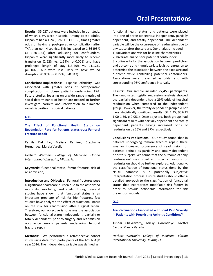**Results**: 35,027 patients were included in our study, of which 6.3% were Hispanic. Among obese adults, Hispanics had a 1.24 (95% CI 1.11-1.39) times greater odds of having a postoperative complication after TKA than non-Hispanics. This increased to 1.36 (95% CI 1.20-1.54) after adjusting for confounders. Hispanics were significantly more likely to receive transfusion (2.62% vs. 1.59%,  $p<0.001$ ) and have prolonged length of stay (13.29% vs. 11.12%, p=0.002), but were less likely to have wound disruption (0.05% vs. 0.27%, p=0.042).

**Conclusions-Implications**: Hispanic ethnicity was associated with greater odds of postoperative complication in obese patients undergoing TKA. Future studies focusing on a wide range metrics of social determinants of health are needed to further investigate barriers and intervention to eliminate racial disparities in surgical patients.

#### **O11**

**The Effect of Functional Health Status on Readmission Rate for Patients status-post Femoral Fracture Repair**

Camila Del Rio, Melissa Ramirez, Stephanie Hernandez, Marcia Varella.

*Herbert Wertheim College of Medicine, Florida International University, Miami, FL.*

**Keywords**: functional status, femur fracture, risk of re-admission,

**Introduction and Objective**: Femoral fractures pose a significant healthcare burden due to the associated morbidity, mortality, and costs. Though several studies have shown that functional status is an important predictor of risk for hip fractures, few studies have analyzed the effect of functional status on the risk for readmission after surgical repair. Therefore, our objective is to assess the association between functional status (independent, partially or totally dependent) prior to surgery and readmission occurrence among patients undergoing femoral fracture repair.

**Methods**: We performed a retrospective cohort study using data from participants of the ACS NSQIP year 2016. The independent variable was defined as

functional health status, and patients were placed into one of three categories: independent, partially dependent, and totally dependent. The dependent variable will be the occurrence of readmission due to any cause after the surgery. Our analysis included 1) univariate analysis for baseline characteristics 2) bivariate analysis for potential confounders 3) collinearity for the association between predictors and outcome and 4) multivariate logistic regression to determine the association between the exposure and outcome while controlling potential confounders. Associations were presented as odds ratio with corresponding 95% confidence intervals.

**Results**: Our sample included 27,453 participants. The unadjusted logistic regression analysis showed the partially dependent had a 29% odds of hospital readmission when compared to the independent group. However, the totally dependent group did not have statistically significant results (OR 1.25, 95% CI 1.00-1.56, p 0.051). Once adjusted, both groups had significant results with partially dependent and totally dependent patients having increased odds of readmission by 25% and 37% respectively.

**Conclusions-Implications**: Our study found that in patients undergoing femoral fracture repair, there was an increased occurrence of readmission for patients defined as partially and totally dependent prior to surgery. We found that the outcome of "any readmission" was broad and specific reasons for readmission should be further explored. Additionally, the classification of functional status done by the NSQIP database is a potentially subjective interpretation process. Future studies should offer a detailed approach to the classification of functional status that incorporates modifiable risk factors in order to provide actionable information for risk prevention models.

#### **O12**

**Are Vaccinations Associated with Joint Pain Severity in Patients with Preexisting Arthritic Conditions?** 

Tushar Chakravarty, Micky Akinrodoye, Grettel Castro, Marcia Varella.

*Herbert Wertheim College of Medicine, Florida International University, Miami, FL.*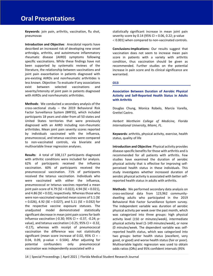# **Oral Presentations**

**Keywords**: join pain, arthritis, vaccination, flu shot, pneumovax

**Introduction and Objective**: Anecdotal reports have described an increased risk of developing new onset arthralgia, arthritis, and autoimmune inflammatory rheumatic disease (AIIRD) symptoms following specific vaccinations. While these findings have not been supported by systematic reviews of the literature, the relationship between vaccinations and joint pain exacerbation in patients diagnosed with pre-existing AIIRDs and nonrheumatic arthritides is less known. Objective: To evaluate if any associations exist between selected vaccinations and severity/intensity of joint pain in patients diagnosed with AIIRDs and nonrheumatic arthritides.

**Methods**: We conducted a secondary analysis of the cross-sectional study – the 2019 Behavioral Risk Factor Surveillance System (BRFSS), which included participants 18 years and older from all 50 states and United States territories that were previously diagnosed with an AIIRD including non-rheumatic arthritides. Mean joint pain severity scores reported by individuals vaccinated with the influenza, pneumococcal, and tetanus vaccines were compared to non-vaccinated controls, via bivariate and multivariable linear regression analyses.

**Results**: A total of 108,117 participants diagnosed with arthritic conditions were included for analysis. 62% of participants received the influenza vaccination. 60% of participants received the pneumococcal vaccination. 71% of participants received the tetanus vaccination. Individuals who were vaccinated with either the influenza, pneumococcal or tetanus vaccines reported a mean joint pain score of 4.79 (SE = 0.022), 4.94 (SE = 0.021), and 4.86 (SE = 0.02), respectively. Whereas those who were non-vaccinated reported mean scores of 5.1 (SE  $= 0.026$ ), 4.92 (SE = 0.027), and 5.11 (SE = 0.032) for the respective vaccine exposure statuses. The unadjusted model demonstrated statistically significant decrease in mean joint pain scores for both influenza vaccination (-0.30; 95% CI = -0.37, -0.24; pvalue), and tetanus vaccination (-0.25; 95% CI = -0.32, -0.17), whereas with receipt of pneumococcal vaccination the difference was not statistically significant (mean score increase of 0.02, 95% CI =  $-$ 0.04, 0.09, p-value =  $0.504$ ). After adjusting for potential confounders only pneumococcal vaccination was independently associated with a

statistically significant increase in mean joint pain severity score by 0.14 (95% CI = 0.06, 0.22; p-value  $<$  0.001) when compared to non-vaccinated controls.

**Conclusions-Implications:** Our results suggest that vaccination does not seem to increase mean pain score in patients with a variety with arthritis condition, thus vaccination should be given as recommended. Further studies on the potential increase in pain score and its clinical significance are warranted.

#### **O13**

#### **Association Between Duration of Aerobic Physical Activity and Self-Reported Health Status in Adults with Arthritis**

Douglas Chung, Monica Robelo, Marcia Varella, Grettel Castro.

*Herbert Wertheim College of Medicine, Florida International University, Miami, FL.*

**Keywords**: arthritis, physical activity, exercise, health status, quality of life

**Introduction and Objective**: Physical activity provides disease-specific benefits for those with arthritis and is recommended for all patients with arthritis. Few studies have examined the duration of aerobic physical activity that is effective for improving selfperceived health status in these individuals. This study investigates whether increased duration of aerobic physical activity is associated with better selfreported health status in adults with arthritis.

**Methods**: We performed secondary data analysis on cross-sectional data from 123,962 communitydwelling adults who participated in the 2019 Behavioral Risk Factor Surveillance System survey. The independent variable was duration of aerobic physical activity per week over the past month, which was categorized into three groups: high physical activity level (150 or minutes/week), intermediate physical activity level (1-149 minutes/week), or none (0 minutes/week. The dependent variable was selfreported health status, which was categorized into two groups: better health status (excellent, very good, or good) and worse health status (fair or poor). Multivariable logistic regression was used to obtain odds ratios (ORs) and 95% confident intervals (95%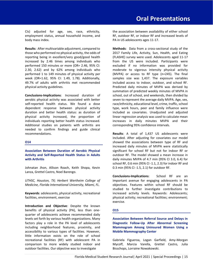CIs) adjusted for age, sex, race, ethnicity, employment status, annual household income, and body mass index.

**Results**: After multivariable adjustment, compared to those who performed no physical activity, the odds of reporting being in excellent/very good/good health increased by 2.46 times among individuals who performed 150 minutes or more (OR= 2.46, 95% CI: 2.30, 2.62) and by 62% among individuals who performed 1 to 149 minutes of physical activity per week (OR=1.62, 95% CI: 1.49, 1.78). Additionally, 49.7% of adults with arthritis met recommended physical activity guidelines.

**Conclusions-Implications**: Increased duration of aerobic physical activity was associated with better self-reported health status. We found a dose dependent response between physical activity duration and better health status: as duration of physical activity increased, the proportion of individuals reporting better health status increased. Additional studies on patients with arthritis are needed to confirm findings and guide clinical recommendations.

#### **O14**

#### **Association Between Duration of Aerobic Physical Activity and Self-Reported Health Status in Adults with Arthritis**

Johnatan Jhon, Allison Roach, Keith Shopa, Kevin Lanza, Grettel Castro, Noel Barengo.

*UTHSC, Houston, TX; Herbert Wertheim College of Medicine, Florida International University, Miami, FL.*

**Keywords**: adolescents, physical activity, recreational facilities, environment, exercise

**Introduction and Objective**: Despite the known benefits of physical activity (PA), less than onequarter of adolescents achieve recommended daily levels set forth by various health organizations. Many factors play a role in the PA level of adolescents including neighborhood features, proximity, and accessibility to various types of facilities. However, little information exists on the role of school recreational facilities (RF) with adolescent PA in comparison to more widely studied indoor and outdoor facilities. Our objective was to investigate

the association between availability of either school RF, outdoor RF, or indoor RF and increased levels of PA in US adolescents ages 11-17.

**Methods**: Data from a cross-sectional study of the 2017 Family Life, Activity, Sun, Health, and Eating (FLASHE) survey were used. Adolescents aged 11-17 from the US were included. Participants were excluded if no information was provided for moderate to vigorous intensity physical activity (MVPA) or access to RF type (n=245). The final samples size was 1,437. The exposure variables included access to indoor, outdoor, and school RF. Predicted daily minutes of MVPA was derived by summation of predicted weekly minutes of MVPA in school, out of school, and weekends, then divided by seven to represent the average daily MVPA. Age, sex, race/ethnicity, educational level, crime, traffic, school type, work hours, peer and family influence were included as covariates. Unadjusted and adjusted linear regression analysis was used to calculate mean increases in daily minutes MVPA and their corresponding 95% confidence intervals.

**Results**: A total of 1,437 US adolescents were included. After adjusting for covariates our model showed the associations between type of RF and increased daily minutes of MVPA were statistically significant for school RF but not for indoor RF or outdoor RF. The model showed a mean increase in daily minutes MVPA of 4.7 min (95% CI 3.0, 6.4) for school RF, 0.6 min (95% CI -1.1, 2.3) for indoor RF and 0.3 min (95% CI -1.5, 2.1) for outdoor RF.

**Conclusions-Implications**: School RF are an important avenue for engaging adolescents in PA objectives. Features within school RF should be studied to further investigate contributions to increased activity levels. Keywords: Adolescents; physical activity; recreational facilities; environment; exercise.

#### **O15**

**Association Between Referral Source and Delays in Diagnostic Follow-Up After Abnormal Screening Mammogram Among Uninsured Women Using a Mobile Mammography Center**

Gabriela Figueroa, Logan Garfield, Amy-Morgan Mycoff, Marcia Varella, Grettel Castro, Julia Bisschops, Lorraine Nowakowski.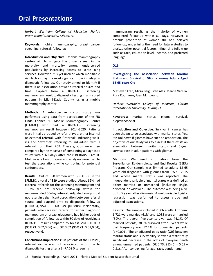# **Oral Presentations**

*Herbert Wertheim College of Medicine, Florida International University, Miami, FL.*

**Keywords**: mobile mammography, breast cancer screening, referral, follow-up

**Introduction and Objective**: Mobile mammography centers aim to mitigate the disparity seen in the morbidity and mortality among underserved populations by increasing access to scree ning services. However, it is yet unclear which modifiable risk factors play the most significant role in delays in diagnostic follow-up. Our study aimed to identify if there is an association between referral source and time elapsed from a BI-RADS-0 screening mammogram result to diagnostic testing in uninsured patients in Miami-Dade County using a mobile mammography center.

**Methods**: A retrospective cohort study was performed using data from participants of the FIU Linda Fenner 3D Mobile Mammography Center (LFMMC) who had a BI-RADS-0 screening mammogram result between 2014-2020. Patients were initially grouped by referral type, either internal or external referral, with "internal" indicating walkins and "external" referring to individuals with a referral from their PCP. These groups were then compared by the measure of completing a diagnostic study within 60 days after their BI-RADS-0 result. Multivariate logistic regression analyses were used to test the associations while controlling for potential confounders.

**Results**: Out of 850 women with BI-RADS 0 in the LFMMC, a total of 829 were studied. About 62% had external referrals for the screening mammogram and 13.3% did not receive follow-up within the recommended 60-day interval. Adjusted analysis did not result in a significant association between referral source and elapsed time to diagnostic follow-up (OR=0.94, 95% CI: 0.60-1.49, p=0.808). Incidentally, patients who received referral for either diagnostic mammogram or breast ultrasound had higher odds of completion of follow-up within 60 days of receiving a BI-RADS-0 result compared to breast MRI (OR 0.03 (95% CI: 0.02,0.06) and OR 0.02 (95% CI: 0.01,0.04), respectively).

**Conclusions-Implications**: In patients of the LFMMC, referral source was not associated with time to diagnostic testing after a BI-RADS 0 screening

mammogram result, as the majority of women completed follow-up within 60 days. However, a notable proportion of women still had delayed follow-up, underlining the need for future studies to analyze other potential factors influencing follow-up such as race, education level, income, and preferred language.

#### **O16**

**Investigating the Association between Marital Status and Survival of Glioma among Adults Aged 18-65 Years Old**

Mazieyar Azad, Mirza Baig, Evan Ales, Marcia Varella, Pura Rodriguez, Juan M. Lozano.

*Herbert Wertheim College of Medicine, Florida International University, Miami, FL.*

**Keywords**: marital status, glioma, survival, biopsychosocial

**Introduction and Objective**: Survival in cancer has been shown to be associated with marital status. Yet, it is unknown if gliomas have such an association. The objective of our study was to assess if there exists an association between marital status and 5-year survival rate in adult patients with gliomas.

**Methods**: We used information from the Surveillance, Epidemiology, and End Results (SEER) Program. Our sample was limited to adults 18-65 years old diagnosed with gliomas from 1973 - 2015 and whose marital status was reported. The independent variable of marital status was defined as either married or unmarried (including single, divorced, or widowed). The outcome was being alive up to 5 years after diagnosis. A multivariable logistic regression was performed to assess crude and adjusted associations.

**Results**: Our sample included 2,806 adults. Of them, 1,721 were married (61%) and 1,085 were unmarried (39%). The overall five-year survival was 44.1%. Of married patients, 38.9% survived after 5 years while that frequency was 52.4% for unmarried patients ( $p$ <0.001). The unadjusted odds ratio (OR) between marital status and survivability showed a statistically significant decrease in the odds of five-year death among unmarried patients (OR 0.73, 95% CI =  $0.65 -$ 0.81). After controlling for age, race, gender, and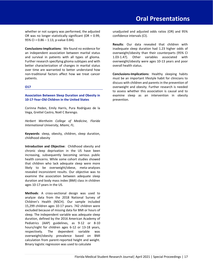whether or not surgery was performed, the adjusted OR was no longer statistically significant (OR = 0.99, 95% CI = 0.86 – 1.13, p-value 0.84).

**Conclusions-Implications**: We found no evidence for an independent association between marital status and survival in patients with all types of glioma. Further research specifying glioma subtypes and with better characterization of changes in marital status over time are warranted to better understand how non-traditional factors affect how we treat cancer patients.

#### **O17**

#### **Association Between Sleep Duration and Obesity in 10-17-Year-Old Children in the United States**

Corinna Peden, Emily Harris, Pura Rodríguez de la Vega, Grettel Castro, Noël C Barengo.

*Herbert Wertheim College of Medicine, Florida International University, Miami, FL.*

**Keywords**: sleep, obesity, children, sleep duration, childhood obesity

**Introduction and Objective**: Childhood obesity and chronic sleep deprivation in the US have been increasing, subsequently becoming serious public health concerns. While some cohort studies showed that children who lack adequate sleep were more likely to be overweight/obese, meta-analyses revealed inconsistent results. Our objective was to examine the association between adequate sleep duration and body mass index (BMI) class in children ages 10-17 years in the US.

**Methods**: A cross-sectional design was used to analyze data from the 2018 National Survey of Children's Health (NSCH). Our sample included 15,299 children ages 10-17 years. 742 children were excluded because of missing data for BMI or hours of sleep. The independent variable was adequate sleep duration, defined by the 2016 American Academy of Pediatrics (AAP) guidelines, as 9-12 or 8-10 hours/night for children ages 6-12 or 13-18 years, respectively. The dependent variable was overweight/obesity prevalence based on BMI calculation from parent-reported height and weight. Binary logistic regression was used to calculate

unadjusted and adjusted odds ratios (OR) and 95% confidence intervals (CI).

**Results**: Our data revealed that children with inadequate sleep duration had 1.23 higher odds of overweight/obesity than their counterparts (95% CI 1.03-1.47). Other variables associated with overweight/obesity were ages 10-13 years and poor overall health status.

**Conclusions-Implications**: Healthy sleeping habits must be an important lifestyle habit for clinicians to discuss with children and parents in the prevention of overweight and obesity. Further research is needed to assess whether this association is causal and to examine sleep as an intervention in obesity prevention.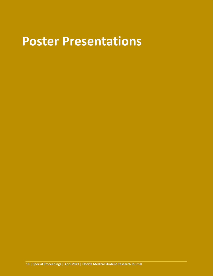# **Poster Presentations**

**18 | Special Proceedings | April 2021 | Florida Medical Student Research Journal**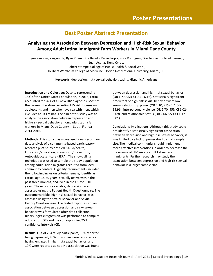## **Best Poster Abstract Presentation**

### **Analyzing the Association Between Depression and High-Risk Sexual Behavior Among Adult Latina Immigrant Farm Workers in Miami Dade County**

Hyunjean Kim, Yingxin He, Ryan Pham, Gira Ravelo, Patria Rojas, Pura Rodriguez, Grettel Castro, Noél Barengo,

Juan Acuna, Elena Cyrus. Robert Stempel College of Public Health & Social Work; Herbert Wertheim College of Medicine, Florida International University, Miami, FL.

**Keywords**: depression, risky sexual behavior, Latina, Hispanic Americans

**Introduction and Objective**: Despite representing 18% of the United States population, in 2016, Latinx accounted for 26% of all new HIV diagnoses. Most of the current literature regarding HIV risk focuses on adolescents and men who have sex with men, which excludes adult Latinas. The aim of this study was to analyze the association between depression and high-risk sexual behavior among adult Latina farm workers in Miami-Dade County in South Florida in 2014-2016.

**Methods**: This study was a cross-sectional secondary data analysis of a community-based participatory research pilot study entitled, Salud/health, Educación/education, Prevención/prevention, Autocuidado/self-care (SEPA). The snowballing technique was used to sample the study population among adult Latina migrants recruited from local community centers. Eligibility requirements included the following inclusion criteria: female, identify as Latina, age 18-50 years, sexually active within the past three months, and lived in the US for 3-10 years. The exposure variable, depression, was assessed using the Patient Health Questionnaire. The outcome variable, high-risk sexual behavior, was assessed using the Sexual Behavior and Sexual History Questionnaire. The tested hypothesis of an association between depression and risky sexual behavior was formulated after data collection. Binary logistic regression was performed to compute odds ratios (OR) and the corresponding 95% confidence intervals (CI).

**Results**: Out of 234 study participants, 15% reported being depressed, 80% of women were reported as having engaged in high-risk sexual behavior, and 19% were reported as not. No association was found between depression and high-risk sexual behavior (OR 1.77, 95% CI 0.51-6.16). Statistically significant predictors of high-risk sexual behavior were low sexual relationship power (OR 4.10, 95% CI 1.06- 15.96), interpersonal violence (OR 2.70, 95% CI 1.02- 5.09), and relationship status (OR 2.66, 95% CI 1.17- 6.01).

**Conclusions-Implications**: Although this study could not identify a statistically significant association between depression and high-risk sexual behavior, it was limited by a lack of power due to small sample size. The medical community should implement more effective interventions in order to decrease the prevalence of HIV among adult Latina recent immigrants. Further research may study the association between depression and high-risk sexual behavior in a larger sample size.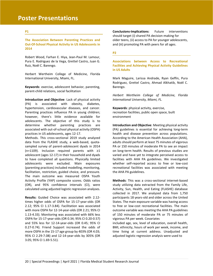# **Poster Presentations**

#### **P1**

**The Association Between Parenting Practices and Out-Of-School Physical Activity in US Adolescents in 2014**

Robert Wood, Farhan E. Hiya, Jean-Paul M. Lamour, Pura E. Rodriguez de la Vega, Grettel Castro, Juan G. Ruiz, Noël C. Barengo.

Herbert Wertheim College of Medicine, Florida International University, Miami, FL.

**Keywords**: exercise, adolescent behavior, parenting, parent-child relations, social facilitation

**Introduction and Objective**: Lack of physical activity (PA) is associated with obesity, diabetes, hypertension, cardiovascular diseases, and cancer. Parenting practices influence PA in young children; however, there's little evidence available for adolescents. The objective of this study is to determine whether parenting practices are associated with out-of-school physical activity (OSPA) practices in US adolescents, ages 12-17.

Methods. This cross-sectional 2019 study analyzed data from the FLASHE study, a web-based, quotasampled survey of parent-adolescent dyads in 2014 (n=1109). Inclusion required parents with ≥1 adolescent (ages 12-17) in their household and dyads to have completed all questions. Physically limited adolescents were excluded. Main exposures (parenting practices) included modelling, monitoring, facilitation, restriction, guided choice, and pressure. The main outcome was measured OSPA Youth Activity Profile (YAP) composite scores. Odds ratios (OR), and 95% confidence intervals (CI), were calculated using adjusted logistic regression analyses.

**Results:** Guided Choice was associated with 2.12 times higher odds of OSPA for 15-17-year-olds (OR 2.12; 95% CI 1.17-3.84). Facilitation was associated with more OSPA for 12-14-year-olds (OR 2.21; 95% CI 1.13-4.33). Monitoring was associated with 66% less OSPA for 15-17-year-olds (OR 0.34; 95% CI 0.20-0.57) and 55% less for 12-14-year-olds (OR 0.45; 95% CI 0.27-0.74). Friend Support increased the odds of more OSPA in the 15-17 age group by 403% (OR 4.03; 95% CI 2.29-7.08) and 12-14-year-olds by 305% (OR 3.05; 95% CI 1.69-5.51).

**Conclusions-Implications**: Future interventions should target (i) shared PA decision-making for older teens, (ii) access to PA for younger adolescents, and (iii) promoting PA with peers for all ages.

#### **P2**

**Associations between Access to Recreational Facilities and Achieving Physical Activity Guidelines in US Adults**

Mark Maguire, Larissa Andrade, Ryan Geffin, Pura Rodriguez, Grettel Castro, Ahmad Alkhatib, Noël C. Barengo.

*Herbert Wertheim College of Medicine, Florida International University, Miami, FL.*

**Keywords**: physical activity, exercise, recreation facilities, public open space, built environment

**Introduction and Objective**: Meeting physical activity (PA) guidelines is essential for achieving long-term health and disease prevention across populations. According to the American Health Association (AHA), adults should perform at least 75 minutes of vigorous PA or 150 minutes of moderate PA to see an impact on long-term health. Results of previous studies are varied and have yet to integrate perceived access to facilities with AHA PA guidelines. We investigated whether self-reported access to free or low-cost recreational facilities was associated with meeting the AHA PA guidelines.

**Methods**: This was a cross-sectional internet-based study utilizing data extracted from the Family Life, Activity, Sun, Health, and Eating (FLASHE) database collected in 2017. We analyzed data from 1,750 participants 18 years-old and older across the United States. The main exposure variable was having access to free or low-cost recreational facilities. The main outcome variable was meeting the AHA PA guidelines of 150 minutes of moderate PA or 75 minutes of vigorous PA per week. Covariates

included age, sex, level of education, overall health, BMI, ethnicity, hours of work per week, income, and time living at current address. Unadjusted and adjusted logistic regression analysis were used to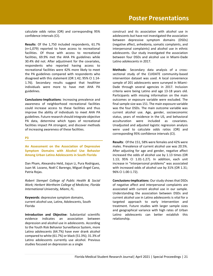calculate odds ratios (OR) and corresponding 95% confidence intervals (CI).

**Results**: Of the 1,750 included respondents, 61.7% (n=1,079) reported to have access to recreational facilities. Of those with access to recreational facilities, 69.9% met the AHA PA guidelines while 30.4% did not. After adjustment for the covariates, respondents who reported having access to recreational facilities were 42% more likely to meet the PA guidelines compared with respondents who disagreed with this statement (OR 1.42; 95% CI 1.14- 1.76). Secondary results suggest that healthier individuals were more to have met AHA PA guidelines.

**Conclusions-Implications**: Increasing prevalence and awareness of neighborhood recreational facilities could increase access to these facilities and thus improve the ability of individuals to meet AHA PA guidelines. Future research should integrate objective PA data, determine which types of recreational facilities impact PA strongest, and discover methods of increasing awareness of these facilities.

#### **P3**

**An Assessment on the Association of Depressive Symptom Domains with Alcohol Use Behavior Among Urban Latino Adolescents in South Florida**

Dan Pham, Alexandra Held, Jiajun Li, Pura Rodriguez, Juan M. Lozano, Noël C Barengo, Miguel Ángel Cano, Patria Rojas.

*Robert Stempel College of Public Health & Social Work; Herbert Wertheim College of Medicine, Florida International University, Miami, FL.*

**Keywords**: depressive symptom domains, current alcohol use, Latinx, Adolescents, South Florida

**Introduction and Objective**: Substantial scientific evidence indicates an association between depression and alcohol use in adolescents. According to the Youth Risk Behavior Surveillance System, more Latino adolescents (64.7%) have ever drank alcohol compared to white (61.7%) or black (51.3%); 31.3% of Latino adolescents currently use alcohol. Previous studies focused on depression as a single

construct and its association with alcohol use in adolescents but have not investigated the association between depressive symptom domains (DSDs) (negative affect, anhedonia, somatic complaints, and interpersonal complaints) and alcohol use in ethnic adolescents. Our study investigated the association between four DSDs and alcohol use in Miami-Dade Latino adolescents in 2017.

**Methods**: Secondary data analysis of a crosssectional study of the CUIDATE community-based intervention dataset was used. A local convenience sample of 201 adolescents were surveyed in Miami-Dade through several agencies in 2017. Inclusion criteria were being Latino and age 13-18 years old. Participants with missing information on the main outcomes or exposure variable were excluded. The final sample size was 151. The main exposure variable was the four DSDs. The main outcome variable was current alcohol use. Age, gender, socioeconomic status, years of residence in the US, and behavioral acculturation were included as covariates. Unadjusted and adjusted logistic regression analysis were used to calculate odds ratios (OR) and corresponding 95% confidence intervals (CI).

**Results**: Of the 151, 58% were females and 42% were males. Prevalence of current alcohol use was 20.5%. After adjusting for age and gender, negative affect increased the odds of alcohol use by 1.13 times (OR 1.13; 95% CI 1.01-1.27). In addition, each unit increase in "interpersonal problems" was associated with increased odds of alcohol use by 31% (OR 1.31; 96% CI 1.00-1.72).

**Conclusions-Implications**: Our study shows that DSDs of negative affect and interpersonal complaints are associated with current alcohol use in our sample. Understanding the association between DSDs and current alcohol use in Latino adolescents is vital for a targeted approach to early intervention and treatment. Future studies with larger sample sizes and geographical variance with high rates of Urban Latino adolescents can better establish this relationship.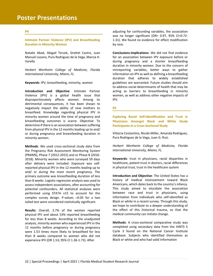#### **P4**

**Intimate Partner Violence (IPV) and Breastfeeding Duration in Minority Women**

Natalie Abad, Abigail Tercek, Grettel Castro, Juan Manuel Lozano, Pura Rodriguez de la Vega, Marcia H. Varella

*Herbert Wertheim College of Medicine, Florida International University, Miami, FL.*

**Keywords**: IPV, breastfeeding, minority, women

**Introduction and Objective**: Intimate Partner Violence (IPV) is a global health issue that disproportionately affects women. Among its detrimental consequences, it has been shown to negatively impact the ability of new mothers to breastfeed. Knowledge regarding physical IPV in minority women around the time of pregnancy and breastfeeding outcomes is scarce. Objective: To determine if there is an association between suffering from physical IPV in the 12 months leading up to and/ or during pregnancy and breastfeeding duration in minority women.

**Methods**: We used cross-sectional study data from the Pregnancy Risk Assessment Monitoring System (PRAMS), Phase 7 (2012-2015) and or Phase 8 (2016- 2018). Minority women who were surveyed 59 days after delivery were included. Exposure was selfreported physical IPV in the 12 months leading up to and/ or during the most recent pregnancy. The primary outcome was breastfeeding duration of less than 8 weeks. Logistic regression analysis was used to assess independent associations, after accounting for potential confounders. All statistical analyses were performed using STATA v15 to account for the complex survey design. P-values  $<$  0.05 for a two tailed test were considered statistically significant.

**Results**: Overall, 3.7% of the women reported physical IPV and about 53% reported breastfeeding for less than 8 weeks. According to the unadjusted analysis, minority women who experienced IPV in the 12 months before pregnancy or during pregnancy were 1.53 times more likely to breastfeed for less than 8 weeks compared to women who did not experience IPV (OR 1.53; 95% CI 1.36-1.73). After

adjusting for confounding variables, the association was no longer significant (OR= 0.97, 95% CI=0.72- 1.31). We found no evidence for effect modification by race.

**Conclusions-Implications**: We did not find evidence for an association between IPV exposure before or during pregnancy and a shorter breastfeeding duration in minority women. Due to the concern of misreporting variables, better ways to gather information on IPV as well as defining a breastfeeding duration that adheres to widely established guidelines are warranted. Future studies should aim to address social determinants of health that may be acting as barriers to breastfeeding in minority women, as well as address other negative impacts of IPV.

#### **P5**

**Exploring Racial Self-Identification and Trust in Physicians Amongst Black and White Study Participants in a Cross-Sectional Study**

Vittoria Costantino, Nicole Miller, Amanda Rodriguez, Pura Rodriguez de la Vega, Juan G. Ruiz.

*Herbert Wertheim College of Medicine, Florida International University, Miami, FL.*

**Keywords**: trust in physicians, racial disparities in healthcare, patient trust in doctors, racial differences in physical trust, trust in the healthcare system

**Introduction and Objective**: The United States has a history of medical mistreatment toward Black Americans, which dates back to the country's infancy. This study aimed to elucidate the association between race and trust in physicians, using information from individuals who self-identified as Black or white in a recent survey. Through this study, we hope to contribute to a deeper understanding of the effect of this historical trauma, so that the medical community can initiate change.

**Methods**: A cross-sectional comparative study was completed using secondary data from the HINTS 5 Cycle 3 found on the National Cancer Institute database. Subjects who identified themselves as Black or white and who had valid information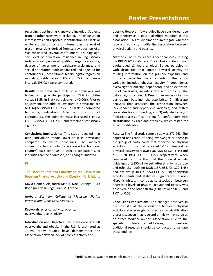regarding trust in physicians were included. Subjects from all other races were excluded. The exposure of interest was self-reported identification as Black or white and the outcome of interest was the level of trust in physicians derived from survey question A6a. We considered several confounders including age, sex, level of education, residence in linguistically isolated areas, perceived quality of urgent care visits, degree of government healthcare assistance, and sexual orientation. Both unadjusted and adjusted for confounders (unconditional binary logistic regression modeling) odds ratios (OR) and 95% confidence intervals (95%CI) were computed.

**Results**: The prevalence of trust in physicians was higher among white participants: 72% in whites versus 61.5% in Black participants (p =0.006). Prior to adjustment, the odds of low trust in physicians are 61% higher (95%CI 1.15-2.27) in Black, as compared to white, individuals. After adjusting for all confounders, the point estimate increased slightly: OR 1.67 (95%CI 1.11-2.50) and remained statistically significant.

**Conclusions-Implications**: This study revealed that Black individuals report lower trust in physicians compared to white individuals. The medical community has a duty to acknowledge how our country's past continues to affect Black patients, so inequities can be addressed, and changes initiated.

#### **P6**

**The Effect of Race and Ethnicity on the Association Between Physical Activity and Obesity in U.S. Adults**

David Gomez, Alejandro Matus, Noel Barengo, Pura Rodriguez de la Vega, Juan M. Lozano.

*Herbert Wertheim College of Medicine, Florida International University, Miami, FL.*

**Keywords**: physical activity, obesity, overweight, race ethnicity

**Introduction and Objective**: The prevalence of adult overweight and obesity in the U.S. is estimated at 73.6%. Many studies have demonstrated the association between lack of physical activity and

obesity. However, few studies have considered race and ethnicity as a potential effect modifier in this association. This study aimed to investigate whether race and ethnicity modify the association between physical activity and obesity.

**Methods**: The study is a cross-sectional study utilizing the BRFSS 2019 database. The inclusion criterion was adults aged 18 years or older. Survey participants with disabilities that limited physical activity or missing information on the primary exposure and outcome variables were excluded. The study variables included physical activity (independent), overweight or obesity (dependent), and an extensive list of covariates, including race and ethnicity. The data analysis included 1) Descriptive analysis of study participant baseline characteristics, 2) Bivariate analyses that assessed the association between independent and dependent variables, and tested covariates for confounding, and 3) Adjusted analysis (logistic regression) controlling for confounders with stratification by race and ethnicity, which tested for effect modification.

**Results**: The final study sample size was 272,263. The adjusted odds ratio of being overweight or obese in the group of participants that reported no physical activity and those that reported 1-149 min/week of physical activity were aOR 1.36 (95% CI 1.29-1.44) and aOR 1.20 (95% CI 1.15-1.27) respectively, when compared to those that met the physical activity guidelines of ≥ 150 min/week. After stratifying by race and ethnicity, both no (aOR 1.37, 95% CI 1.29-1.45) and low level (aOR 1.21, 95% CI 1.15-1.28) of physical activity maintained statistical significance in non-Hispanic whites. In contrast, no association between decreased levels of physical activity and obesity was observed in the other strata (aOR between 0.86 and  $1.07$ ,  $p<0.05$ ).

**Conclusions-Implications**: The changes observed in the strength of the association between physical activity and overweight or obesity after stratification analysis suggests that race and ethnicity may serve as an effect modifier on this association. Due to the sparsity of literature addressing this question, additional research should be conducted to validate these findings.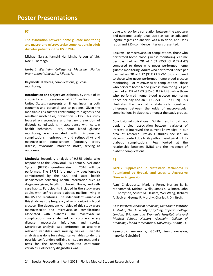#### **P7**

**The association between home glucose monitoring and macro- and microvascular complications in adult diabetes patients in the US in 2016**

Michael Garcia, Kamahl Harrisingh, Jervon Wright, Noël C. Barengo.

*Herbert Wertheim College of Medicine, Florida International University, Miami, FL.*

**Keywords**: diabetes, complications, glucose monitoring

**Introduction and Objective**: Diabetes, by virtue of its chronicity and prevalence of 23.1 million in the United States, represents an illness incurring both economic and personal cost to patients. Given the modifiable risk factors contributing to diagnosis and resultant morbidities, prevention is key. This study focused on secondary and tertiary prevention of diabetic complications in accordance with certain health behaviors. Here, home blood glucose monitoring was evaluated, with microvascular complications (nephropathy and retinopathy) and macrovascular complications (coronary artery disease, myocardial infarction stroke) serving as outcomes.

**Methods**: Secondary analysis of 9,385 adults who responded to the Behavioral Risk Factor Surveillance System (BRFSS) questionnaire in 2016 will be performed. The BRFSS is a monthly questionnaire administered by the CDC and state health departments collecting health information such as diagnoses given, length of chronic illness, and selfcare habits. Participants included in the study were adults with self-reported diabetes mellitus living in the US and Territories. The independent variable of this study was the frequency of self-monitoring blood glucose. The dependent variables of this study were macrovascular and microvascular complications associated with diabetes. The macrovascular complications were defined as coronary artery disease, myocardial infarction, and stroke. Descriptive analysis was performed to ascertain relevant variables and missing values. Bivariate analysis was done for categorical variables to identify possible confounders utilizing chi-square tests and ttests for the normally distributed continuous variables. Collinearity diagnostics was

done to check for a correlation between the exposure and outcome. Lastly, unadjusted as well as adjusted logistic regression analysis was also done, and Odds ratios and 95% confidence intervals presented.

**Results**: For macrovascular complications, those who performed home blood glucose monitoring <1 time per day had an OR of 1.03 (95% CI 0.72-1.47) compared to those who never performed home glucose monitoring. Adults who performed  $\geq$ once per day had an OR of 1.12 (95% CI 0.79-1.59) compared to those who never performed home blood glucose monitoring. For microvascular complications, those who perform home blood glucose monitoring <1 per day had an OR of 1.03 (95% CI 0.72-1.48) while those who performed home blood glucose monitoring  $\geq$ once per day had an 1.12 (95% CI 0.79-1.59). This illustrates the lack of a statistically significant difference between the odds of macrovascular complications in diabetics amongst the study groups.

**Conclusions-Implications**: While results did not depict a clear association between variables of interest, it improved the current knowledge in our area of research. Previous studies focused on glycemic control due to its pathophysiological link to diabetic complications. Few looked at the relationship between SMBG and the incidence of diabetic complications.

#### **P8**

**GCNT2 Suppression in Metastatic Melanoma Is Potentiated by Hypoxia and Leads to Aggressive Disease Progression**

Asmi Chakraborty, Mariana Perez, Norhan B. B. Mohammed, Michael Wells, James S. Wilmott, John F. Thompson, Stuart M. Haslam, Wei Wang, Richard A. Scolyer, George F. Murphy, Charles J. Dimitroff.

*Case Western School of Medicine; Melanoma Institute Australia, The University of Sydney; Imperial College London; Brigham and Women's Hospital, Harvard Medical School; Herbert Wertheim College of Medicine, Florida International University, Miami, FL.*

**Keywords**: melanoma, GCNT2, immunoevasion, hypoxia, Galecitin-3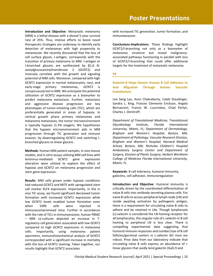**Introduction and Objective**: Metastatic melanoma (MM) is a lethal disease with a dismal 5-year survival rate of 25%. Thus, intense efforts to boost novel therapeutic strategies are underway to identify early detection of melanomas with high propensity to metastasize. We recently discovered that the loss of cell surface glycan, I-antigen, corresponds with the transition of primary melanoma to MM. I-antigen or I-branched glycans are synthesized by β1,6 Nacetylglucosaminyltransferase 2 (GCNT2) and inversely correlate with the growth and signaling potential of MM cells. Moreover, compared with high GCNT2 expression in normal melanocytes, nevi, and early-stage primary melanomas, GCNT2 is conspicuously lost in MM. We anticipate the potential utilization of GCNT2 expression as a biomarker to predict melanoma metastasis. Further, metastasis and aggressive disease progression are key phenotypes of tumor-initiating cells (TIC), which are preferentially generated in areas of hypoxia. In vertical growth phase primary melanomas and melanoma metastases, the tumor microenvironment is typically hypoxic (1.5% oxygen). We hypothesize that the hypoxic microenvironment aids in MM progression through TIC generation and immune evasion, by downregulating GCNT2 and switching Ibranched glycans to linear glycans.

**Methods**: Human MM patient samples, in vivo mouse models, and in vitro assays utilizing MM cell lines with lentivirus-mediated GCNT2 gene expression alteration were utilized to explore the effect of hypoxia and GCNT2 on melanoma progression and stem gene expression.

**Results**: MM cells grown under hypoxic conditions had reduced GCNT2 and MITF with upregulated stem cell marker KLF4 expression. Importantly, in the in vivo TIC assay, we found significant decreased tumor formation with increased GCNT2 expression while low GCNT2 levels enabled tumor formation even when 1000 cells were injected in immunocompromised mice. Further in accordance with the role of TICs in immunoevasion, human PBMC – MM co-cultures depicted an increase in Tregulatory cell generation associated with low GCNT2 compared to high GCNT2 expression in melanoma cells. Importantly, using melanoma patient specimens, immunohistochemical analysis of GCNT2 corresponded with a significant increase in mortality with the loss of GCNT2 staining. Taken together, our results highlight that GCNT2 associates

with increased TIC generation, tumor formation, and immunoevasion.

**Conclusions-Implications**: These findings highlight GCNT2/I-branching not only as a biomarker of melanoma virulence but reveal malignancyassociated pathways functioning in parallel with loss of GCNT2/I-branching that could offer additional targets for the treatment of metastatic melanoma.

#### **P9**

**Galectin-9 Helps Govern Human B Cell Adhesion to And Migration Through Human Vascular Endothelium.**

Lee Seng Lau, Asmi Chakraborty, Caleb Staudinger, Sandra L. King, Frances Clemente Erickson, Angela Bernasconi, Francis W. Luscinskas, Chad Perlyn, Charles J. Dimitroff.

*Department of Translational Medicine, Translational Glycobiology Institute, Florida International University, Miami, FL; Department of Dermatology, Brigham and Women's Hospital, Boston, MA; Department of Pathology, Vascular Research Division, Brigham and Women's Hospital, Harvard Medical School, Boston, MA; Nicholas Children's Hospital Ambulatory Surgery Center and Department of Surgery, Division of Plastic Surgery, Herbert Wertheim College of Medicine Florida International University, Miami, FL.*

**Keywords**: B cell tolerance, humoral immunity, galectins, cell adhesion, immunoregulation

**Introduction and Objective**: Humoral immunity is critically driven by the coordinated differentiation of naïve B cells into antibody-secreting plasma cells. For naive B cells to access peripheral lymph node (LN) and reside awaiting activation by pathogenic antigen, there is a requirement for circulating naïve B cells to adhere and be retained in LNs. Though lymphocyte (L)-selectin is considered the LN-homing receptor for all lymphocytes, the singular role of L-selectin in B cell homing to peripheral LN is less clear. There is compelling experimental data suggesting that humoral immune responses and number/size of B cell follicles/germinal centers in L-selectin KO mice are robust. Prior data from our laboratory indicate that circulating naïve B cells express an abundance of ilinear glycans that avidly bind galectin (Gal)-9 and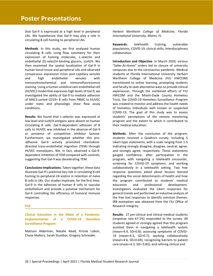that Gal-9 is expressed at a high level in peripheral LNs. We hypothesize that Gal-9 may play a role in circulating B cell homing to peripheral LNs.

**Methods**: In this study, we first analyzed human circulating B cells using flow cytometry for their expression of homing molecules, L-selectin and endothelial (E)-selectin-binding glycans, sLeX/A. We then examined the spatial localization of Gal-9 in human tonsil tissue and peripheral LNs and observed conspicuous expression in/on post-capillary venules and high endothelial venules with immunohistochemical and immunofluorescence staining. Using a human umbilical vein endothelial cell (HUVEC) model that expresses high levels of Gal-9, we investigated the ability of Gal-9 to mediate adhesion of MACS-sorted CD19+ B cells from PBMC to HUVEC under static and physiologic shear flow assay conditions.

**Results**: We found that L-selectin was expressed at low level and sLeX/A antigens were absent on human circulating B cells. Gal-9-dependent adhesion of B cells to HUVEC was inhibited in the absence of Gal-9 or presence of competitive inhibitor lactose. Furthermore, we investigated whether this proadhesive Gal-9 activity promoted chemokinedirected trans-endothelial migration (TEM) through HUVEC monolayers. We, in fact, observed a Gal-9 dependent inhibition of TEM compared with controls, suggesting that Gal-9 was decelerating TEM.

**Conclusions-Implications**: Taken together, these data illustrate Gal-9's potential key role in circulating B cell homing to peripheral LN and/or in retention of naïve B cells in LNs. Our studies implicate, for the first time, Gal-9 in the adhesion of human B cells to vascular endothelium and provide a putative mechanism for Gal-9 controlling the efficiency of humoral immune responses.

#### **P10**

**Clinical Education in the Midst of a Pandemic; Implementation of a COVID-19 Homeless Surveillance Program**

Matison Alderman, Natalie Abad, Krissie Lobon, Chase Mallory, Sarah Stumbar, Gregory Schneider.

*Herbert Wertheim College of Medicine, Florida International University, Miami, FL.*

**Keywords**: telehealth training, vulnerable populations, COVID-19, clinical skills, interdisciplinary collaboration

**Introduction and Objective**: In March 2020, various "Safer-At-Home" orders led to closure of university campuses due to the coronavirus pandemic. Medical students at Florida International University Herbert Wertheim College of Medicine (FIU HWCOM) transitioned to online learning, prompting students and faculty to seek alternative ways to provide clinical experiences. Through the combined efforts of FIU HWCOM and the Miami-Dade County Homeless Trust, the COVID-19 Homeless Surveillance Program was created to monitor and address the health needs of homeless individuals with known or suspected COVID-19. The goal of this study was to assess students' perceptions of the remote monitoring program and the extent to which it contributed to their medical education.

**Methods**: After the conclusion of the program, students received a Qualtrics survey, including 5 Likert-type statements, with a scale ranging from 1-5 indicating strongly disagree, disagree, neutral, agree, and strongly agree, respectively. These statements gauged confidence, after participation in the program, with navigating a telehealth encounter, screening for COVID-19 symptoms, and working collaboratively in a telehealth setting. Two free response questions asked about lessons learned regarding the social determinants of health and how the program contributed to students' medical education and professional development. Investigators evaluated the Likert responses for general trends and performed an inductive analysis of the free text responses to identify common themes. IRB exemption was obtained from the FIU Office of Research Integrity.

**Results**: 27 pre-clinical and clinical medical students (response rate 67.5%) responded to the survey. All students agreed or strongly agreed that this program assisted them in navigating a telehealth system (mean=4.4, SD=0.8); assessing symptoms of COVID-19 (mean=4.5, SD=0.7); working collaboratively (mean=4.6, SD=0.69); recognizing barriers to patient care (mean=4.3, SD= 0.83); and refining clinical and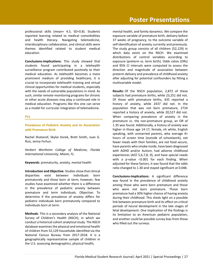professional skills (mean= 4.5, SD=0.8). Students reported learning related to medical comorbidities and health literacy. Navigating telemedicine, interdisciplinary collaboration, and clinical skills were themes identified related to student medical education.

**Conclusions-Implications**: This study showed that students found participating in a telehealth surveillance program contributed positively to their medical education. As telehealth becomes a more prominent medium of providing healthcare, it is crucial to incorporate telehealth training and virtual clinical opportunities for medical students, especially with the needs of vulnerable populations in mind. As such, similar remote-monitoring programs for chronic or other acute diseases may play a continued role in medical education. Programs like this one can serve as a model for curricular integration of telemedicine.

#### **P11**

**Prevalence of Pediatric Anxiety and Its Association with Premature Birth**

Rachel Shatanof, Skylar Korek, Brett Smith, Juan G. Ruiz, Jenny Fortun.

*Herbert Wertheim College of Medicine, Florida International University, Miami, FL.*

**Keywords**: prematurity, anxiety, mental health

**Introduction and Objective**: Studies show that clinical disparities exist between individuals born prematurely and those born at term; however, few studies have examined whether there is a difference in the prevalence of pediatric anxiety between premature and term individuals. Objective: To determine if the prevalence of anxiety differs for pediatric individuals born prematurely compared to individuals born at term.

**Methods**: This is a secondary analysis of the National Survey of Children's Health (NSCH), in which we conduct a historical cohort analytical study. The NSCH database examines the physical and emotional health of children from 52,129 households identified via the National Census Bureau from 2017-2018. It is a geographically representative sample of children in the U.S. assessing demographics, physical health,

mental health, and family dynamics. We compare the exposure variable of premature birth, delivery before 37 weeks of pregnancy, to the outcome variable of self-identification of anxiety currently and previously. The study group consists of all children (52,129) in which data exists on the NSCH. We examined distributions of control variables according to exposure (preterm vs. term birth). Odds ratios (ORs) and 95% CI intervals were computed to assess the direction and magnitude of association between preterm delivery and prevalence of childhood anxiety after adjusting for potential confounders by fitting a multivariable model.

**Results**: Of the NSCH population, 2,872 of these subjects had premature births, while 23,251 did not. Of those with premature births, 435 reported a history of anxiety, while 2437 did not. In the population that was not born premature, 2724 reported a history of anxiety, while 20,527 did not. When comparing prevalence of anxiety in the premature vs. the non-premature group, an OR of 1.35 was found. Additionally, a history of anxiety was higher in those age 14-17, female, nh white, English speaking, with unmarried parents, who average 4+ hours of screen time (outside of schoolwork), eat fewer meals with their families, are not food secure, have parents who smoke inside, have been diagnosed with ADHD and/or Autism, had adverse childhood experiences (ACE 5,6,7,8, 9), and have special needs with a p-value  $< 0.001$  for each finding. When adjusted for these factors, it was found that the odds ratio changed to 1.30 and stayed significant at 0.048.

**Conclusions-Implications**: A significant difference was found in the prevalence of childhood anxiety among those who were born premature and those who were not born premature. Those born premature had a 30% higher chance of having anxiety during their childhood. This sheds light on a possible link between premature birth and its effect on critical periods of neural development in the late stages of fetal development. One implication of the findings is its limitation to an American pediatric population, and another could be possible survey bias from those who filled out the surveys.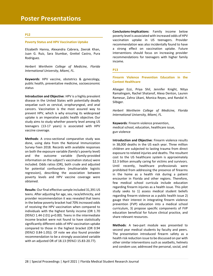#### **P12**

#### **Poverty Status and HPV Vaccination Uptake**

Elizabeth Hanna, Alexandra Cabrera, Zeerak Khan, Juan G. Ruiz, Sara Stumbar, Grettel Castro, Pura Rodriguez.

*Herbert Wertheim College of Medicine, Florida International University, Miami, FL.*

**Keywords**: HPV vaccine, obstetrics & gynecology, public health, preventative medicine, socioeconomic status

**Introduction and Objective**: HPV is a highly prevalent disease in the United States with potentially deadly sequelae such as cervical, oropharyngeal, and anal cancers. Vaccination is the most assured way to prevent HPV, which is why ensuring its widespread uptake is an imperative public health objective. Our study aims to study whether poverty level among US teenagers (13-17 years) is associated with HPV vaccine coverage.

**Methods**: A cross-sectional comparative study was done, using data from the National Immunization Survey-Teen 2018. Records with available responses on both the exposure variable (family's poverty level) and the outcome variable (family-provided information on the subject's vaccination status) were included. Odds ratios (OR), both crude and adjusted for potential confounders (multivariable logistic regression), describing the association between poverty levels and HPV vaccine coverage were obtained.

**Results**: Our final effective sample included 31,391 US teens. After adjusting for age, sex, race/ethnicity, and provider recommendation it was revealed that teens in the below poverty bracket had 70% increased odds of receiving the HPV vaccination when compared to individuals with the highest family income (OR 1.70 (95%CI 1.44-2.01) p=0.00). Teens in the intermediate income bracket were not found to have statistically significantly different odds of HPV vaccination uptake compared to those in the highest bracket (OR 0.94 (95%CI 0.84-1.05)). Of note we also found provider recommendation to be a strongly associated variable with an adjusted OR of 18.13 (95%CI 15.83-20.77).

**Conclusions-Implications**: Family income below poverty level is associated with increased odds of HPV vaccination uptake in US teenagers. Provider recommendation was also incidentally found to have a strong effect on vaccination uptake. Future interventions should focus on increasing provider recommendations for teenagers with higher family income.

#### **P13**

**Firearm Violence Prevention Education in the Context Healthcare** 

Aliasger Ezzi, Priya Shil, Jennifer Knight, Nitya Ramalingam, Rachel Shatanof, Alexa Denton, Lauren Ramesar, Zahra Ukani, Monica Reyes, and Randal H. Silbiger.

*Herbert Wertheim College of Medicine, Florida International University, Miami, FL.*

**Keywords**: Firearm violence prevention, medical school, education, healthcare issue, gun violence

**Introduction and Objective**: Firearm violence results in 38,000 deaths in the US each year. Three million children are subjected to lasting trauma from direct exposure to related injuries and deaths. The resultant cost to the US healthcare system is approximately \$2.3 billion annually caring for victims and survivors. Until recently, healthcare professionals were prohibited from addressing the presence of firearms in the home as a health risk during a patient encounter in Florida and other regions. Therefore, few medical school curricula include education regarding firearm injuries as a health issue. This pilot study seeks to 1) assess medical student beliefs regarding firearm violence as a public health issue 2) gauge their interest in integrating firearm violence prevention (FVP) education into a medical school curriculum, 3) propose specific components of FVP education beneficial for future clinical practice, and share relevant resources.

**Methods**: A two-part module was presented to second year medical students by faculty and peers. The presentation introduced firearm safety as a health risk reduction issue to be discussed on par with other similar interventions such as seatbelts, helmets and condom use; addressed the personal, social, and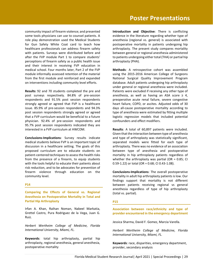community impact of firearm violence; and presented some tools physicians can use to counsel patients. A role play demonstration used the Medical Students for Gun Safety White Coat card to teach how healthcare professionals can address firearm safety with patients. Surveys were distributed before and after the FVP module Part 1 to compare students' perceptions of firearm safety as a public health issue and their interest in receiving FVP education in medical school. Four months later, Part 2 of the FVP module informally assessed retention of the material from the first module and reinforced and expanded on interventions including community level efforts.

**Results**: 92 and 70 students completed the pre and post surveys respectively. 84.8% of pre-session respondents and 91.5% post session respondents strongly agreed or agreed that FVP is a healthcare issue. 85.9% of pre-session respondents and 94.3% post session respondents strongly agreed or agreed that a FVP curriculum would be beneficial to a future physician. 92.4% of pre-session respondents and 95.7% post session respondents indicated they are interested in a FVP curriculum at HWCOM.

**Conclusions-Implications**: Survey results indicate medical students believe FVP is an important topic of discussion in a healthcare setting. The goals of this proposed curriculum are to educate students on patient-centered techniques to assess the health risks from the presence of a firearm, to equip students with the tools helpful to educate their patients about risk reduction, and to be advocates for prevention of firearm violence through education on the community level.

#### **P14**

**Comparing the Effects of General vs. Regional Anesthesia on Postoperative Mortality in Total and Partial Hip Arthroplasty**

Irfan A. Khan, Raihan Noman, Nabeel Markatia, Grettel Castro, Pura Rodriguez de la Vega, Juan G. Ruiz.

*Herbert Wertheim College of Medicine, Florida International University, Miami, FL.*

**Keywords**: total hip arthroplasty, partial hip arthroplasty, regional anesthesia, general anesthesia, postoperative mortality

**Introduction and Objective**: There is conflicting evidence in the literature regarding whether type of anesthesia (regional vs. general) is associated with postoperative mortality in patients undergoing hip arthroplasty. The present study compares mortality between general or regional anesthesia administered to patients undergoing either total (THA) or partial hip arthroplasty (PHA).

**Methods**: A retrospective cohort was assembled using the 2015-2016 American College of Surgeons National Surgical Quality Improvement Program database. Adult patients undergoing hip arthroplasty under general or regional anesthesia were included. Patients were excluded if receiving any other type of anesthesia, as well as having an ASA score  $\geq 4$ , preoperative acute renal failure, severe congestive heart failure, COPD, or ascites. Adjusted odds of 30 days all-cause postoperative mortality according to type of anesthesia were estimated by fitting multiple logistic regression models that included potential confounders and effect modifiers.

**Results**: A total of 60,897 patients were included. Given that the interaction between type of anesthesia and type of arthroplasty was statistically significant, separated models were fitted for each type of arthroplasty. There was no evidence of an association between type of anesthesia and postoperative mortality in hip arthroplasty patients regardless of whether the arthroplasty was partial (OR =  $0.85$ ; CI 0.59-1.22) or total (OR = 0.68; CI 0.43-1.08).

**Conclusions-Implications**: The overall postoperative mortality in adult hip arthroplasty patients is low. Our findings support that mortality is not different between patients receiving regional vs general anesthesia regardless of type of hip arthroplasty (total vs. partial).

#### **P15**

**Association between race/ethnicity and type of provider encountered in the emergency department**

Jessica Sharma, David F. Gomez, Marcia Varella.

*Herbert Wertheim College of Medicine, Florida International University, Miami, FL.*

**Keywords**: race, disparities, emergency department, provider, secondary analysis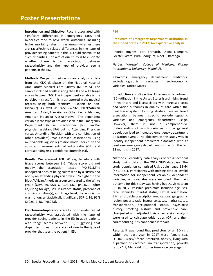# **Poster Presentations**

**Introduction and Objective**: Race is associated with significant differences in emergency care, and minorities tend to have worse outcomes, including higher mortality rates. It is unknown whether there are racial/ethnic related differences in the type of provider seeing patients in the ED could contribute to such disparities. The aim of our study is to elucidate whether there is an association between race/ethnicity and the type of provider seeing patients in the ED.

**Methods**: We performed secondary analysis of data from the CDC database on the National Hospital Ambulatory Medical Care Survey (NHAMCS). The sample included adults visiting the ED and with triage scores between 3-5. The independent variable is the participant's race/ethnicity as reported in the medical records using both ethnicity (Hispanic or non-Hispanic) As well as race (White, Black/African American, Asian, Hawaiian or Other Pacific Islander, American Indian or Alaska Native). The dependent variable is the type of provider seen in the Emergency Department (Nurse Practitioner [NP] and/or physician assistant [PA] but no Attending Physician versus Attending Physician with any combination of other providers). We assessed associations using multivariable logistic regression models for crude and adjusted measurements of odds ratio (OR) and corresponding 95% confidence intervals (CI).

**Results**: We assessed 108,520 eligible adults with triage scores between 3-5. Triage score did not modify the association tested (P=0.391).The unadjusted odds of being solely seen by a NP/PA and not by an attending physician was 30% higher in the Black/African American group compared to the White group (OR=1.29, 95% CI 1.04-1.61, p=0.020). After adjusting for age, sex, insurance status, presence of chronic condition(s), and triage level, the association was no longer statistically significant (OR=1.16, 95% CI 0.91-1.48, P=0.223).

**Conclusions-Implications**: We found no evidence that race/ethnicity was associated with the type of provider seeing patients in the ED in adult patients with triage scores between 3-5, suggesting that disparities in health care are not due to the type of provider that sees the patient in ED.

#### **P16**

**Predictors of Emergency Department Utilization in the United States in 2017: An explorative analysis**

Phoebe Hughes, Tori Ehrhardt, Diana Llompart, Grettel Castro, Pura Rodriguez, Noël C. Barengo.

*Herbert Wertheim College of Medicine, Florida International University, Miami, FL.*

**Keywords**: emergency department, predictors, sociodemographic variables, socioeconomic variables, United States

**Introduction and Objective**: Emergency department (ED) utilization in the United States is a climbing trend in healthcare and is associated with increased costs and varied outcomes in quality of care within the healthcare system. Existing studies have explored associations between specific sociodemographic variables and emergency department usage. However, there is not a comprehensive understanding of which variables in the general population lead to increased emergency department utilization overall. The objective of this study was to identify independent predictors associated with at least one emergency department visit within the last 12 months in 2017.

**Methods**: Secondary data analysis of cross-sectional study, using data of the 2017 NHIS database. The study population comprised U.S. adults, aged 18-64 (n=17,421). Participants with missing data or invalid information for independent variables, dependent variables, or covariates were excluded. The main outcome for this study was having had >1 visits to an ED in 2017. Possible predictors included age, sex, race, ethnicity, marital status, sexual orientation, BMI, affordable prescription medications, geographic region, poverty ratio, insurance status, marital status, transportation, occupational status, psychiatric history, smoking history, and preventive care. Unadjusted and adjusted logistic regression analysis were used to calculate odds ratios (OR) and their corresponding 95% confidence intervals.

**Results**: It was found that predictors of an ED visit within the past year in 2017 were female sex, LGTBQ+, Black/African American, obesity, living with a partner or divorced, no transportation, poverty ratio <1.9, Medicaid or other insurance coverage,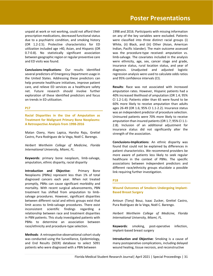unpaid at work or not working, could not afford their prescription medications, decreased functional status due to a psychiatric condition, and smoking history (OR 1.2-2.5). Protective characteristics for ED utilization included age >40, Asian, and Hispanic (OR 0.7-0.8). No statistically significant association between geographic region or regular preventive care and ED visits was found.

**Conclusions-Implications**: Our results identified several predictors of Emergency Department usage in the United States. Addressing these predictors can help promote healthcare initiatives, improve patient care, and relieve ED services as a healthcare safety net. Future research should involve further exploration of these identified predictors and focus on trends in ED utilization.

#### **P17**

**Racial Disparities in the Use of Amputation as Treatment for Malignant Primary Bone Neoplasms: A Retrospective Analysis from 1998-2016**

Matan Ozery, Hans Lapica, Harsha Raju, Grettel Castro, Pura Rodriguez de la Vega, Noël C. Barengo.

*Herbert Wertheim College of Medicine, Florida International University, Miami, FL.*

**Keywords**: primary bone neoplasm, limb-salvage, amputation, ethnic disparity, racial disparity

**Introduction and Objective:** Primary Bone Neoplasms (PBNs) represent less than 1% of total diagnosed cancers each year. When not treated promptly, PBNs can cause significant morbidity and mortality. With recent surgical advancements, PBN treatment has shifted from amputation to limbsalvage procedures. However, significant disparities between different racial and ethnic groups exist that limit access to limb-salvage procedures. There exist inconsistent scientific findings regarding relationship between race and treatment disparities in PBN patients. This study investigated patients with PBNs to determine an association between race/ethnicity and procedure-type selection.

**Methods**: A retrospective observational cohort study was conducted using the Surveillance, Epidemiology, and End Results (SEER) database to select 5091 patients who were diagnosed with a PBN between

1998 and 2016. Participants with missing information on any of the key variables were excluded. Patients were classified into three distinct racial groups (i) White, (ii) Black, and (iii) Other (Asian, American Indian, Pacific Islander). The main outcome assessed was the procedure-type received: amputation vs. limb-salvage. The covariates included in the analysis were ethnicity, age, sex, cancer stage and grade, insurance status, rural location status, and year of diagnosis. Unadjusted and adjusted logistic regression analysis were used to calculate odds ratios and 95% confidence intervals (CI).

**Results**: Race was not associated with increased amputation rates. However, Hispanic patients had a 40% increased likelihood of amputation (OR 1.4; 95% CI 1.2-1.6). Patients older than 65 were found to be 60% more likely to receive amputation than adults ages 26-49 (OR 1.6; 95% CI 1.1-2.2). Insurance status was an independent predictor of procedure selection. Uninsured patients were 70% more likely to receive amputation than insured patients (OR 1.7; 95% CI 1.1- 2.8). Inclusion of an additional adjustment for insurance status did not significantly alter the strength of the association.

**Conclusions-Implications**: An ethnic disparity was found that could not be explained by differences in patient characteristics. We recommend providers be more aware of patients less likely to seek regular healthcare in the context of PBNs. The specific associations between independent predictors and different race/ethnicity groups elucidate a possible link requiring further investigation.

#### **P18**

**Wound Outcomes of Smokers Undergoing Implant-Based Breast Surgery**

Antoun (Tony) Bouz, Isaac Zucker, Grettel Castro, Pura Rodríguez de la Vega, Noël C. Barengo.

*Herbert Wertheim College of Medicine, Florida International University, Miami, FL.*

**Keywords**: smoking, post-operative infection, implant-based breast surgery

**Introduction and Objective**: Smoking is a cause of many postoperative complications, including delayed wound healing, tissue necrosis, and reconstructive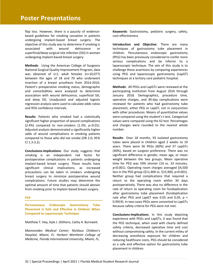# **Poster Presentations**

flap loss. However, there is a paucity of evidencebased guidelines for smoking cessation in patients undergoing implant-based breast surgery. The objective of this study was to determine if smoking is associated with wound dehiscence or superficial/deep surgical site infection (SSI) in women undergoing implant-based breast surgery.

**Methods**: Using the American College of Surgeons National Surgical Quality Improvement Program, data was obtained of U.S. adult females (n=10,077) between the ages of 18 and 70 who underwent insertion of a breast prosthesis from 2014-2016. Patient's preoperative smoking status, demographic and comorbidities were analyzed to determine association with wound dehiscence, superficial SSI, and deep SSI. Unadjusted and adjusted logistic regression analysis were used to calculate odds ratios and 95% confidence intervals.

**Results**: Patients who smoked had a statistically significant higher proportion of wound complications  $(2.4%)$  compared to non-smokers  $(1.3%; p<0.01)$ . Adjusted analysis demonstrated a significantly higher odds of wound complications in smoking patients compared to those who did not smoke (OR 2.0; 95% CI 1.3-3.2).

**Conclusions-Implications**: Our study suggests that smoking is an independent risk factor for postoperative complications in patients undergoing implant-based breast surgery. These results have significant clinical implications, as increased precautions can be taken in smokers undergoing breast surgery to minimize postoperative wound complications. Future studies may determine the optimal amount of time that patients should abstain from smoking prior to implant-based breast surgery.

#### **P19**

**Percutaneous Endoscopic Gastrostomy Tube Placement Is Safe and Effective in Children When Compared to Laparoscopic Technique**

Matthew T. Hey, Kyle J. Glithero, Cathy A. Burnweit.

*Maimonides Medical Center; Nicklaus Children's Hospital, Miami, FL. Herbert Wertheim College of Medicine, Florida International University, Miami, FL.*

**Keywords**: Gastrostomy, pediatric surgery, safety, cost-effectiveness

**Introduction and Objective**: There are many techniques of gastrostomy tube placement in children. Percutaneous endoscopic gastrostomy (PEG) has been previously considered to confer more serious complications and be inferior to a laparoscopic technique. The aim of this study is to challenge these assertions by comparing experiences using PEG and laparoscopic gastrostomy (LapGT) techniques at a tertiary care pediatric hospital.

**Methods**: All PEGs and LapGTs were reviewed at the participating institution from August 2016 through January 2018. Demographics, procedure time, operative charges, and 30-day complications were reviewed for patients who had gastrostomy tube placement, either PEG or LapGT, not in conjunction with other procedures. Means of quantitative values were compared using the student's t test. Categorical values were compared using the X2 test. Percentages and charges were rounded to the nearest whole number.

**Results**: Over 18 months, 93 isolated gastrostomy tubes were placed in children aged 2 weeks to 19 years. There were 56 PEGs (60%) and 37 LapGTs (40%), based on surgeon preference. There was no significant difference in gender, mean age, or mean weight between the two groups. Mean operative time for PEG was 59% shorter (14 vs. 33 minutes, p<0.001). Operating room charges averaged \$4,500 less in the PEG group (\$11,400 vs. \$15,900, p<0.001). Neither group had complications that required a return to the operating room within 30 days postoperatively. There was also no difference in the rate of return to operating room for fundoplication after gastrostomy tube placement (fundoplication rate after PEG and LapGT was 0.05 and 0.05,  $p =$ 0.9919). In two cases PEGs were converted to LapGTs because safety criteria for PEG were not met.

**Conclusions-Implications**: In this study depicting experience with PEGs and LapGTs, it was found that the PEG technique, when used with clearly defined safety criteria, decreased operative time and cost without compromising safety. In the current milieu of decreasing anesthesia exposure for children and reducing healthcare costs, PEG should be considered as a safe and effective option for gastrostomy tube placement in children.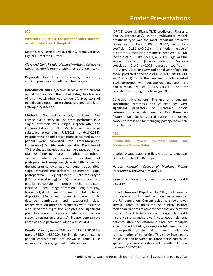#### **P20**

**Predictors of Opioid Consumption after Roboticassisted Total Knee Arthroplasty**

Matan Ozery, Jesus M. Villa, Tejbir S. Pannu Carlos A. Higuera, Preetesh D. Patel.

*Cleveland Clinic Florida; Herbert Wertheim College of Medicine, Florida International University, Miami, FL.*

**Keywords**: total knee arthroplasty, opioid use, cruciate prosthesis, robotic-assisted surgery

**Introduction and Objective**: In view of the current opioid misuse crisis in the United States, the objective of this investigation was to identify predictors of opioid consumption after robotic-assisted total knee arthroplasty (Ra-TKA).

**Methods**: We retrospectively reviewed 186 consecutive primary Ra-TKA cases performed in a single institution by a single surgeon after the implementation of Florida's law on controlled substance prescribing (7/3/2018 to 6/18/2019). Postoperative opioid prescriptions consumed by the patient were converted into Total-Morphine-Equivalents (TME) (dependent variable). Predictors of TME evaluated included age, gender, race, ethnicity, BMI, ASA/smoking status in addition to robotic system data {postoperative deviation of postoperative transepicondylar-axis with respect to the posterior-condylar-axis, component sizes, tibial slope, stressed medial/lateral tibiofemoral gaps, postoperative leg-alignment, prosthesis-type [CR(cruciate-retaining) vs. CS(cruciate-substituting)], patellar polyethylene thickness}. Other predictors included knee range-of-motion, length-of-stay, tourniquet/skin-to-skin times, and hospital discharge disposition. Means and frequencies were used to describe continuous and categorical data, respectively. All potential predictors were assessed with univariate regression analyses and significant predictors were incorporated into a multivariate stepwise regression analysis. An independent sample t-test was also performed. Alpha was set at 0.05.

**Results**: Overall, mean TME was 1,215.4 ± SD 567.6 (range, 515.0 to 4,890.0). Baseline demographics and patient characteristics are shown in Table 1. In univariate analyses, age and prosthesis-type

(CR/CS) were significant TME predictors (Figures 1 and 2, respectively). In the multivariate model, prosthesis type was the most important predictor (Pearson-correlation 0.183, p=0.007; regressioncoefficient 0.181, p=0.013). In this model, the use of a cruciate-substituting prosthesis predicted a TME increase of 219 units (95%CI, 46.5-391). Age was the second predictor (inverse relation, Pearsoncorrelation -0.149, p=0.022; regression-coefficient - 0.147, p=0.043). For every additional year of age, the model predicted a decrease of 10.2 TME units (95%CI, -20.2 to -0.3). On further analysis, Robotic-assisted TKAs performed with cruciate-retaining prosthesis had a mean TME of 1,061.5 versus 1,282.5 for cruciate-substituting prosthesis (p=0.013).

**Conclusions-Implications**: The use of a cruciatesubstituting prosthesis and younger age were significant predictors of increased opioid consumption after robotic-assisted TKA. These two factors should be considered during the informed consent process and for managing postoperative pain expectations.

#### **P21**

**Relationship Between Insurance Status and Melanoma Survival Rates**

Charles Wyatt, Claudia Trilles, Grettel Castro, Juan Gabriel Ruiz, Noël C. Barengo.

*Herbert Wertheim College of Medicine, Florida International University, Miami, FL.*

**Keywords**: Melanoma, health insurance, health disparity

**Introduction and Objective**: In 2019, melanoma of the skin was the 5th most common cancer amongst the US population. Current evidence shows lower survival rates in uninsured or publicly insured melanoma patients relative to those that are privately insured. Scientific information in regard to health insurance status and survival in cutaneous melanoma patients after the Affordable Care Act Medicaid expansion is limited by incomplete follow-up, lack of cause-specific survival data, and inadequate representation of minorities. This study investigates the association between insurance status and causespecific 5-year survival rates in adults with melanoma between 2007-2016.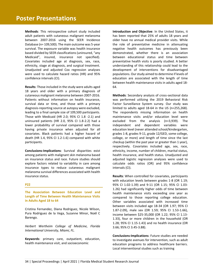**Methods**: This retrospective cohort study included adult patients with cutaneous malignant melanoma between 2007-2016 using the SEER Incidence Database (n= 109,500). The main outcome was 5-year survival. The exposure variable was health insurance based divided by SEER classifications (uninsured, "any Medicaid", insured, insurance not specified). Covariates included age at diagnosis, sex, race, ethnicity, stage at diagnosis, and surgical treatment. Unadjusted and adjusted Cox regression analyses were used to calculate hazard ratios (HR) and 95% confidence intervals (CI).

**Results**: Those included in the study were adults aged 18 years and older with a primary diagnosis of cutaneous malignant melanoma between 2007-2016. Patients without information on health insurance, survival data or time, and those with a primary diagnosis-reporting source at autopsy were excluded, leading to a final sample size of 109,500 participants. Those with Medicaid (HR 2.0; 95% CI 1.8 -2.1) and uninsured patients (HR 2.0, 95% CI 1.8-2.2) had a lower probability of survival compared with those having private insurance when adjusted for all covariates. Black patients had a higher hazard of death (HR 1.4, 95% CI 1.2-1.6) compared with white participants.

**Conclusions-Implications**: Survival disparities exist among patients with malignant skin melanoma based on insurance status and race. Future studies should explore factors related to variability in care among insurance types to reduce cutaneous malignant melanoma survival differences associated with health insurance status.

#### **P22**

**The Association Between Education Level and Length of Time Between Health Maintenance Visits in Adults Aged 18 to 64**

Cristina Fernandez, Diana Rodriguez, Nicole Wilson, Pura Rodriguez de la Vega, Suzanne Minor, Noël C Barengo.

*Herbert Wertheim College of Medicine, Florida International University, Miami, FL.*

**Keywords**: primary care, outpatient, education, health maintenance visit, and socioeconomic

**Introduction and Objective**: In the United States, it has been reported that 25% of adults 18 years and older have no annual medical provider visits. While the role of preventative medicine in attenuating negative health outcomes has previously been demonstrated, whether there is an association between educational status and time between preventative health visits is poorly studied. A better understanding of this relationship could lead to the development of interventions for disadvantaged populations. Our study aimed to determine if levels of education are associated with the length of time between health maintenance visits in adults aged 18- 64.

**Methods**: Secondary analysis of cross-sectional data was performed utilizing the 2019 Behavioral Risk Factor Surveillance System survey. Our study was limited to adults aged 18-64 in the US (n=255,268). The respondents missing information on health maintenance visits and/or education level were excluded from the analysis (n=3,939). The independent and dependent variables were education level (never attended school/kindergarten, grades 1-8, grades 9-11, grade 12/GED, some college, college, or more) and length of time since the last checkup (within the past year or greater than 1 year), respectively. Covariates included age, sex, race, ethnicity, income, number of children, marital status, health insurance, and health status. Unadjusted and adjusted logistic regression analyses were used to calculate odds ratios (OR) and 95% confidence intervals (CI).

**Results**: When controlled for covariates, participants with education levels between grades 1-8 (OR 1.19; 95% CI 1.02-1.39) and 9-11 (OR 1.15; 95% CI 1.03- 1.26) had significantly higher odds of time between health maintenance visits exceeding one year as compared to those reporting college education. Other variables associated with increased time between visits included age 18-34 (OR 1.97; 95% CI 1.87-2.09), male sex (OR 1.59; 95% CI 1.53-1.66), income between \$25-35,000 (OR 1.22; 95% CI 1.13- 1.33), four or more children in the household (OR 1.28; 95% CI 1.15-1.43) and no health insurance (OR 3.66; 95% CI 3.45-3.88).

**Conclusions-Implications**: Future studies are needed to investigate avenues for intervention, such as adult education programs to address healthcare barriers. Local interventional studies such as training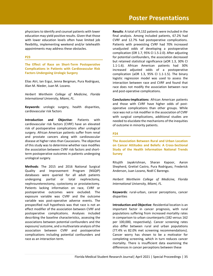physicians to identify and counsel patients with lower education may yield positive results. Given that those with lower education levels often have limited job flexibility, implementing weekend and/or telehealth appointments may address these obstacles.

#### **P23**

**The Effect of Race on Short-Term Postoperative Complications in Patients with Cardiovascular Risk Factors Undergoing Urologic Surgery**

Elias Atri, Ian Ergui, Jenna Bergman, Pura Rodriguez, Alan M. Nieder, Juan M. Lozano.

*Herbert Wertheim College of Medicine, Florida International University, Miami, FL.*

**Keywords**: urologic surgery, health disparities, cardiovascular risk factors

**Introduction and Objective**: Patients with cardiovascular risk factors (CVRF) have an elevated risk of postoperative complications after urological surgery. African American patients suffer from renal and prostate cancers along with cardiovascular disease at higher rates than Caucasians. The objective of this study was to determine whether race modifies the association between CVRF risk factors and shortterm postoperative outcomes in patients undergoing urological surgery.

**Methods**: The 2015 and 2016 National Surgical Quality and Improvement Program (NSQIP) databases were queried for all adult patients undergoing partial or total nephrectomy, nephroureterectomy, cystectomy or prostatectomy. Patients lacking information on race, CVRF or postoperative outcomes were excluded. The exposure variable was CVRF and the outcome variable was post-operative adverse events. The prespecified null hypothesis was that race is not an effect modifier of the association between CVRF and postoperative complications. Analyses included describing the baseline characteristics, assessing the associations between potential confounders and the exposure/ outcome, and a multivariate analysis of the association between CVRF and postoperative complications including potential confounders and race as an interaction term.

**Results**: A total of 9,132 patients were included in the final analysis. Among included patients, 67.2% had CVRF and 12.7% had postoperative complications. Patients with preexisting CVRF had 70% increased unadjusted odds of developing a postoperative complication (OR 1.7, 95% CI 1.5-2.0). After adjusting for potential confounders, the association decreased but retained statistical significance (aOR 1.3, 30% CI 1.1-1.6). African American patients had 30% increased adjusted odds of a postoperative complication (aOR 1.3, 95% CI 1.1-1.5). The binary logistic regression model was used to assess the interaction between race and CVRF and found that race does not modify the association between race and post-operative complications.

**Conclusions-Implications**: African American patients and those with CVRF have higher odds of postoperative complications than other groups. While race was not a risk modifier in the association of CVRF with surgical complications, additional studies are needed to elucidate the mechanisms of the inequities of outcome in minority patients.

#### **P24**

**The Association Between Rural and Urban Location on Cancer Attitudes and Beliefs: A Cross-Sectional Study of the Health Information National Trends Survey**

Ritujith Jayakrishnan, Sharan Kapoor, Aaron Shepherd, Grettel Castro, Pura Rodriguez, Frederick Anderson, Juan Lozano, Noël C Barengo.

*Herbert Wertheim College of Medicine, Florida International University, Miami, FL.*

**Keywords**: rural-urban, cancer perceptions, cancer disparities

**Introduction and Objective**: Residential location is an important factor in cancer prognosis, with rural populations suffering from increased mortality rates in comparison to urban counterparts (182 versus 162 per 100,000, respectively). Cancer screening rates also differ between rural and urban populations (77.4% vs 82.0% met screening recommendations). Cancer worry has shown to be a motivator for completing screening, which in turn reduces cancer mortality. There is insufficient data examining the differences in cancer perceptions between these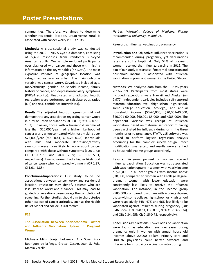communities. Therefore, we aimed to determine whether residential location, urban versus rural, is associated with cancer worry in US adults.

**Methods**: A cross-sectional study was conducted using the 2019 HINTS 5 Cycle 3 database, consisting of 5,438 responses from randomly surveyed American adults. Our sample excluded participants ever diagnosed with cancer and those with missing information on the key variables (n=1,050). The main exposure variable of geographic location was categorized as rural or urban. The main outcome variable was cancer worry. Covariates included age, race/ethnicity, gender, household income, family history of cancer, and depression/anxiety symptoms (PHQ-4 scoring). Unadjusted and adjusted logistic regression were performed to calculate odds ratios (OR) and 95% confidence intervals (CI).

**Results**: The adjusted logistic regression did not demonstrate any association regarding cancer worry in rural or urban populations (aOR 0.92; 95% CI 0.55– 1.53). However, those with a household income of less than \$20,000/year had a higher likelihood of cancer worry when compared with those making over \$75,000/year (aOR 0.41; CI 0.26–0.65). Individuals with mild and moderate depression/anxiety symptoms were more likely to worry about cancer compared with those without symptoms (aOR 1.73; CI 1.10–2.70 and aOR 2.99; CI 1.68–5.31, respectively). Finally, women had a higher likelihood of cancer worry when compared with men (aOR 1.37; CI 1.01–1.85).

**Conclusions-Implications**: Our study found no associations between cancer worry and residential location. Physicians may identify patients who are less likely to worry about cancer. This may lead to guided conversations to encourage the completion of screening. Further studies should aim to characterize other aspects of cancer attitudes, such as the Health Belief Model and sociocultural factors.

#### **P25**

**The Association between Socioeconomic Factors and Influenza Vaccination Uptake in Pregnant Women**

Michaela Mills, Sonja Radosevic, Ana Sosa, Pura Rodriguez de la Vega, Grettel Castro, Juan G. Ruiz, Marcia Varella.

*Herbert Wertheim College of Medicine, Florida International University, Miami, FL.*

**Keywords**: influenza, vaccination, pregnancy

**Introduction and Objective**: Influenza vaccination is recommended during pregnancy, yet vaccinations rates are still suboptimal. Only 54% of pregnant women received the influenza vaccine in 2019. The aim of our study is to assess if maternal education and household income is associated with influenza vaccination in pregnant women in the United States.

**Methods**: We analyzed data from the PRAMS years 2016-2019. Participants from most states were included (exceptions were Hawaii and Alaska) (n= 2,977). Independent variables included self-reported maternal education level (>high school, high school, some college education, ≥college), and annual household income (\$0-20,000, \$20,001-40,000, \$40,001-60,000, \$60,001-85,000, and >\$85,000). The dependent variable was receipt of influenza vaccination, based on maternal self-report of having been vaccinated for influenza during or in the three months prior to pregnancy. STATA v15 software was utilized to perform logistic regression analysis accounting for the complex survey design. Effect modification was tested, and results were stratified by household income groups accordingly.

**Results**: Sixty-one percent of women received influenza vaccination. Education was not associated with vaccination uptake in women with yearly income ≤ \$20,000. In all other groups with income above \$20,000, compared to women with ≥college degree, pregnant women with lower education were consistently less likely to receive the influenza vaccination. For instance, in the income group >\$85,000, compared to women with ≥college degree, those with some college, high school, or >high school were respectively 54%, 47% and 66% less likely to be vaccinated against influenza during pregnancy (OR: 0.46, 95% CI: 0.39-0.54, OR: 0.53, 95% CI: 0.37-0.74), and OR: 0.34, 95% CI: 0.15-0.73, respectively).

**Conclusions-Implications**: Lower odds of vaccination were found as education level decreases during pregnancy only in women with annual household incomes above 20,000 dollars. Primary care and OB/GYN physicians could better advocate and intervene for improving vaccination rates during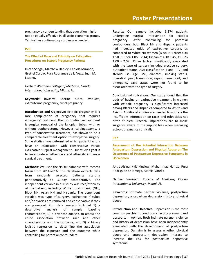pregnancy by understanding that education might not be equally effective in all socio-economic groups. Yet, further confirmatory studies are needed.

#### **P26**

#### **The Effect of Race and Ethnicity on Extirpative Procedures on Ectopic Pregnancy Patients**

Imran Sehgal, Matthew Hanley, Fabiola Miranda, Grettel Castro, Pura Rodriguez de la Vega, Juan M. Lozano.

*Herbert Wertheim College of Medicine, Florida International University, Miami, FL.*

**Keywords**: invasive, uterine tubes, oviducts, extrauterine pregnancy, tubal pregnancy

**Introduction and Objective**: Ectopic pregnancy is a rare complication of pregnancy that requires emergency treatment. The most definitive treatment is surgical removal of the fallopian tubes, with or without oophorectomy. However, salpingostomy, a type of conservative treatment, has shown to be a comparable treatment option to extirpative surgery. Some studies have determined which patient factors have an association with conservative versus extirpative surgical management. Our study's goal is to investigate whether race and ethnicity influence surgical treatment.

**Methods**: We used the NSQIP database with records taken from 2014-2016. This database extracts data from randomly selected patients starting perioperatively to 30-day postoperative. The independent variable in our study was race/ethnicity of the patient, including White non-Hispanic (NH), Black NH, Asian NH and Hispanic. The dependent variable was type of surgery, extirpative if tubes and/or ovaries are removed and conservative if they are preserved. Our data analysis included 1) a descriptive analysis of sample baseline characteristics, 2) a bivariate analysis to assess the crude association between race and other characteristics and the outcome, and 3) a binary logistic regression to determine the association between the exposure and the outcome while controlling for potential confounders.

**Results**: Our sample included 3,174 patients undergoing surgical intervention for ectopic pregnancy. After controlling for potential confounders, both Black NH and Hispanic patients had increased odds of extirpative surgery, as compared to White NH women (Black NH race: aOR 1.50, CI 95% 1.05 - 2.14; Hispanic: aOR 1.45, CI 95% 1.00 - 2.09). Other factors significantly associated with the type of surgery included elective surgery, outpatient status, ASA classification II and III-V, and steroid use. Age, BMI, diabetes, smoking status, operation year, transfusion, sepsis, hematocrit, and emergency case status were not found to be associated with the type of surgery.

**Conclusions-Implications**: Our study found that the odds of having an extirpative treatment in women with ectopic pregnancy is significantly increased among Blacks and Hispanics compared to Whites and Asians. Additional studies are needed to address the insufficient information on races and ethnicities not often studied. Practical implications are to make surgeons aware of the implicit bias when managing ectopic pregnancy surgically.

#### **P27**

**Assessment of the Potential Interaction Between Antepartum Depression and Physical Abuse on The Occurrence of Postpartum Depressive Symptoms in US Women**

Jorge Alsina, Kyle Kinslow, Muhammad Hamza, Pura Rodriguez de la Vega, Marcia Varella

*Herbert Wertheim College of Medicine, Florida International University, Miami, FL.*

**Keywords**: intimate partner violence, postpartum depression, antepartum depression history, physical abuse

**Introduction and Objective**: Depression is the most common psychiatric condition affecting pregnant and postpartum women. Both Intimate partner violence and history of depression have been independently associated with the development of postpartum depression. Our aim is to assess whether physical abuse and antepartum depression interact to increase the risk for postpartum depressive symptoms.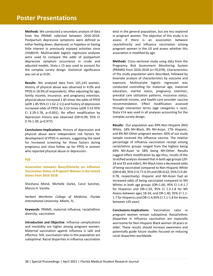**Methods**: We conducted a secondary analysis of data from the PRAMS collected between 2016-2018. Postpartum depressive symptoms were defined as either feeling down, depressed, or hopeless or having little interest in previously enjoyed activities since childbirth. Multivariable logistic regression analyses were used to compare the odds of postpartum depressive symptom occurrence in crude and adjusted models. Stata v 15 was used to account for the complex survey design. Statistical significance was set at  $p<0.05$ .

**Results**: We analyzed data from 101,143 women. History of physical abuse was observed in 4.0% and PPDS in 18.9% of respondents. After adjusting for age, family income, insurance, and pregnancy intention, physical abuse increased 1.85 times the odds of PPDS (aOR 1.85 95% CI 1.62-2.11) and history of depression increased odds of PPDS by 3.53 times (aOR 3.53 95% CI 3.29-3.78,  $p<0.001$ ). No effect modification by depression history was observed (OR=0.99, 95% CI 0.76-1.30, p=0.977).

**Conclusions-Implications**: History of depression and physical abuse were independent risk factors for development of PPDS in women, suggesting the need for increased screening for those factors during pregnancy and close follow up for PPDS in women who reported physical abuse or depression.

#### **P28**

**Association between Race/Ethnicity on Influenza Vaccination Status of Pregnant Women in the United States from 2016-2018**

Shoshana Mond, Michelle Darko, Carol Sanchez, Marcia H. Varella.

*Herbert Wertheim College of Medicine, Florida International University, Miami, FL.*

**Keywords**: PRAMS, maternal influenza, racial/ethnic diversity, vaccination

**Introduction and Objective**: Influenza complications and morbidity are higher among pregnant women. Maternal vaccination against influenza is safe and effective. Still, vaccination rates in this population are suboptimal. Racial disparities in influenza vaccination

exist in the general population, but are less explored in pregnant women. The objective of this study is to assess if there is an association between race/ethnicity and influenza vaccination among pregnant women in the US and assess whether this association is modified by age.

**Methods**: Cross-sectional study using data from the Pregnancy Risk Assessment Monitoring System (PRAMS) from 2016-2018 (n=70,078). Characteristics of the study population were described, followed by bivariate analysis of characteristics by outcome and exposure. Multivariate logistic regression was conducted controlling for maternal age, maternal education, marital status, pregnancy intention, prenatal care utilization patterns, insurance status, household income, and health-care provider vaccine recommendation. Effect modification assessed through interaction terms (age categories x race). Stata V14 was used in all analyses accounting for the complex survey design.

**Results**: Our population was 49% Non-Hispanic (NH) White, 18% NH-Black, 8% NH-Asian, 17% Hispanic, and 8% NH-Other pregnant women. 60% of our study sample received the influenza vaccine. The relative percentage of influenza vaccination receipt among racial/ethnic groups ranged from the highest being 69% NH-Asian to 58% being NH-Other. Results suggest effect modification by age thus, results of the stratified analysis showed that in both age groups (20- 34 and 35 and older), NH-Black have a decreased odds of being vaccinated compared to Non-Hispanic White (OR=0.80, 95% CI 0.77-0.93 and OR=0.62, 95% CI 0.49- 0.78, respectively). Hispanic and NH-Asian had an increased odds of being vaccinated compared to NH Whites in both age groups (OR=1.60, 95% CI 1.4-1.7 for Hispanics and OR=1.50, 95% CI 1.3-1.8 for NH Asians between ages 18-34, and OR-1.40, 95% CI 1.1- 1.7 for Hispanics and OR=1.4,95% CI 1.1-1.8 for Asians between ≥35 year).

**Conclusions-Implications**: Vaccination rates in pregnant women remain suboptimal. Racial/ethnic disparities in influenza vaccination are especially worrisome for Non-Hispanic Black women 18 years or older. These results should increase awareness and potentially guide future studies focused on reducing racial disparities worldwide.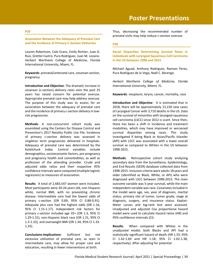#### **P29**

#### **Association Between the Adequacy of Prenatal Care and the Incidence of Primary C-Section Deliveries**

Lauren Robertson, Cole Evans, Emily Richter, Juan G. Ruiz, Grettel Castro, Pura Rodriguez, Juan M. Lozano. Herbert Wertheim College of Medicine, Florida International University, Miami, FL.

**Keywords**: prenatal/antenatal care, cesarean section, pregnancy

**Introduction and Objective**: The dramatic increase in cesarean (c-section) delivery rates over the past 25 years has raised concern for potential overuse. Appropriate prenatal care may help address overuse. The purpose of this study was to assess for an association between the adequacy of prenatal care and the incidence of primary c-section delivery in lowrisk pregnancies.

**Methods**: A non-concurrent cohort study was assembled using the Centers for Disease Control and Prevention's 2017 Natality Public Use File. Incidence of primary c-section delivery was assessed in singleton term pregnancies delivered in hospitals. Adequacy of prenatal care was determined by the Kotelchuck Index. Control variables include demographics, socioeconomic factors, pre-pregnancy and pregnancy health and comorbidities, as well as profession of the attending provider. Crude and adjusted odds ratios and their respective 95% confidence intervals were computed (multiple logistic regression) as measures of association.

**Results**: A total of 2,683,547 women were included. Most participants were 20-34 years old, non-Hispanic white, normal BMI, with no preexisting chronic disease. Intermediate care had the lowest odds of primary c-section (OR 0.89, 95% CI 0.88-0.91). Adequate plus care had the highest odds (OR 1.16, 95% CI 1.15-1.17). Independent risk factors for primary c-section included age 35+ (OR 1.3, 95% CI 1.29-1.31), non-Hispanic black race (OR 1.31, 95% CI 1.3-1.32), and overweight BMI (OR 1.34, 95% CI 1.33- 1.35).

**Conclusions-Implications**: Sufficient but not excessive utilization of prenatal care, as seen in intermediate care, may allow for proper care and education, resulting in fewer interventions at birth.

Thus, decreasing the recommended number of prenatal visits may help reduce c-section overuse.

#### **P30**

**Racial Disparities Determining Survival Rates in Individuals with Laryngeal Squamous Cell Carcinoma in the US between 1998 and 2015**

Michael Aguad, Anthony Rodriguez, Ramses Perez, Pura Rodríguez de la Vega, Noël C. Barengo.

*Herbert Wertheim College of Medicine, Florida International University, Miami, FL.*

**Keywords**: neoplasm, larynx, cancer, mortality, race

**Introduction and Objective**: It is estimated that in 2018, there will be approximately 13,150 new cases of Laryngeal Cancer with 3,710 deaths in the US. Data on the survival of minorities with laryngeal squamous cell carcinoma (LSCC) since 2012 is scant. Since then, there has been a shift in incidence and treatment modalities, which may have improved or worsened survival disparities among races. This study investigated if being Black or Asian/Pacific Islander (API) with LSCC was associated with a lower overall survival as compared to Whites in the US between 1998-2015.

**Methods**: Retrospective cohort study analyzing secondary data from the Surveillance, Epidemiology, and End Results (SEER) database collected data from 1998-2015. Inclusion criteria were adults 18 years and older (identified as Black, White, or API) who were diagnosed with LSCC between 1998-2015. The main outcome variable was 5-year survival, while the main independent variable was race. Covariates included in the model were age, sex, year of diagnosis, marital status, primary site of tumor, tumor grade, stage at diagnosis, surgery, and insurance status. Kaplan-Meier curves and log-rank test were assessed. Unadjusted and adjusted Cox proportional hazard model were used to calculate Hazard ratios (HR) and 95% confidence intervals (CI).

**Results**: When compared with Whites in the unadjusted model, both Blacks and API had a statistically significant hazard of death (HR 1.55; 95% CI 1.42-1.69 and HR 1.18; 95% CI 1.02-1.38, respectively). After adjusting for potential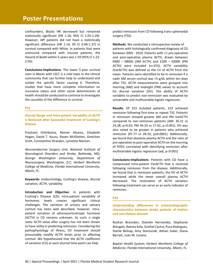## **Poster Presentations**

confounders, Blacks HR decreased but remained statistically significant (HR 1.16; 95% CI 1.05-1.29). However, API patients did not have a statistically significant difference (HR 1.14; 95 CI 0.96-1.37) in survival compared with White. In patients that were uninsured compared with insured patients, the Hazard of death within 5-years was 1.59 (95% CI 1.23- 2.05).

**Conclusions-Implications**: The lower 5-year survival seen in Blacks with LSCC is a vital topic in the clinical community that can further help to understand and isolate the specific factor causing it. Therefore, studies that have more complete information on insurance status and other social determinants of health should be conducted to continue to investigate the causality of the difference in survival.

#### **P31**

**Diurnal Range and Intra-patient Variability of ACTH is Restored after Successful treatment of Cushing's Disease**

Prashant Chittiboina, Reinier Alvarez, Elizabeth Hogan, David T. Asuzu, Raven McGlotten, Gretchen Scott, Constantine Stratakis, Lynnette Nieman.

*Neuroendocrine Surgery Unit, National Institute of Neurological Disorders and Stroke, Bethesda, MD; George Washington University, Department of Neurosurgery, Washington, D.C; Herbert Wertheim College of Medicine, Florida International University, Miami, FL.*

**Keywords**: endocrinology, Cushing's disease, diurnal variation, ACTH, variability

**Introduction and Objective**: In patients with Cushing's Disease (CD), intra-patient variability of hormones levels creates significant clinical challenges. The variation of urinary and salivary cortisol has been well described, however, intrapatient variation of adrenocorticotropic hormone (ACTH) in CD remains unknown. As such, a single static ACTH value after surgery has not been shown to have utility in predicting remission. Considering the pathophysiology of illness, CD treatment should presumably modify ACTH levels prior to affecting cortisol. We hypothesized that the ACTH coefficient of variation (CV) at each diurnal time-point can help

predict remission from CD following trans-sphenoidal surgery (TSS).

**Methods**: We conducted a retrospective review of patients with histologically confirmed diagnosis of CD between 2005 - 2019. Patients with  $\geq$ 1 pre-operative and post-operative plasma ACTH, drawn between 0400 – 0800h (AM ACTH) and 2200 – 0200h (PM ACTH) were included (n=253). ACTH variability (VarACTH) was defined as the CV of ACTH from the mean. Patients were identified to be in remission if a nadir AM serum cortisol was <5 g/dL within ten days after TSS. ACTH measurements were grouped into morning (AM) and midnight (PM) values to account for diurnal variation (DV). The ability of ACTH variables to predict non-remission was evaluated by univariable and multivariable logistic regression.

**Results**: Of 253 included patients, 223 achieved remission following first-time or repeat TSS. Patients in remission showed greater AM and PM VarACTH compared to non-remission patients (AM: 36.31 vs 24.38, p=0.02; PM 44.24 vs 17.02, p<0.001). DV was also noted to be greater in patients who achieved remission (87.77 vs 28.33; p≤0.0001). Additionally, we found that absolute plasma ACTH and the ratio of pre-operative to post-operative ACTH on the morning of POD1 correlated with identifying remission after multivariable logistic regression (adj.  $p<0.001$ )

**Conclusions-Implications**: Patients with CD have a compressed intra-patient VarACTH that is restored following remission from the disease. Additionally, we found that in remission patients, the DV of ACTH increased while the mean overall plasma ACTH decreased. The restoration of ACTH variation following treatment can serve as an early indicator of remission.

#### **P32**

**Understanding differences in echocardiographic characteristics between stroke patients of Haitian and non-Haitian descent**

Roshan Bransden, Dianelis Hernandez, Stephanie Mangels, Reema Kola, Grettel Castro, Pura Rodriguez, Starlie Belnap, Amy Starosciak, Adnan Subei, Diana Barratt, Juan M. Lozano.

*Baptist Health System; Herbert Wertheim College of Medicine, Florida International University, Miami, FL.*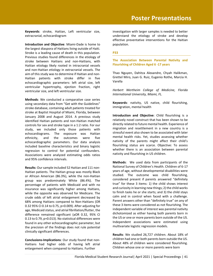**Keywords**: stroke, Haitian, Left ventricular size, extracranial, echocardiogram

**Introduction and Objective**: Miami-Dade is home to the largest diaspora of Haitians living outside of Haiti. Stroke is a leading cause of death in this population. Previous studies found differences in the etiology of stroke between Haitians and non-Haitians, with Haitian etiology likely rooted in intracranial vessels and non-Haitian etiology in extracranial vessels. The aim of this study was to determine if Haitian and non-Haitian patients with stroke differ in five echocardiographic parameters: left atrial size, left ventricular hypertrophy, ejection fraction, right ventricular size, and left ventricular size.

**Methods**: We conducted a comparative case series using secondary data from "Get with the Guidelines" stroke database, containing adult patients treated for stroke at Baptist Hospital of Miami, Florida, between January 2008 and August 2014. A previous study identified Haitian patients and non-Haitian matched controls for sex and stroke type in a 1:2 ratio. For our study, we included only those patients with echocardiograms. The exposure was Haitian ethnicity, and the outcomes were five echocardiographic parameters. Our data analysis included baseline characteristics and binary logistic regression to control for potential confounders. Associations were analyzed estimating odds ratios and 95% confidence intervals.

**Results**: Our sample included 52 Haitian and 111 non-Haitian patients. The Haitian group was mostly Black or African American (86.3%), while the non-Haitian group was predominately White (86.4%). The percentage of patients with Medicaid and with no insurance was significantly higher among Haitians, while the opposite was observed for Medicare. The crude odds of left atrial enlargement decreased by 68% among Haitians compared to Non-Haitians (OR 0.32 95% CI 0.14 to 0.75, p=0.009). After adjusting for age, Medicaid status, and atrial fibrillation/flutter, the difference remained significant (aOR 0.32, 95% CI 0.13 to 0.79, p=0.013). No statistical differences were found in any other echocardiographic parameter, but the precision of the findings does not rule potential clinically significant differences.

**Conclusions-Implications**: Our study found that non-Haitians had higher odds of having left atrial enlargement when compared to Haitians. Further

investigation with larger samples is needed to better understand the etiology of stroke and develop effective preventative interventions for the Haitian population.

#### **P33**

**The Association Between Parental Nativity and Flourishing of Children Aged 6 -17 years**

Thao Nguyen, Dahitza Alexandre, Chyah Halikman, Grettel Miro, Juan G. Ruiz, Eugenio Rothe, Marcia H. Varella

*Herbert Wertheim College of Medicine, Florida International University, Miami, FL.*

**Keywords**: nativity, US native, child flourishing, immigration, mental health

**Introduction and Objective**: Child flourishing is a relatively novel construct that has been shown to be directly related to future mental health. Experience of migration and resettlement in a new country is a stressful event also shown to be associated with later mental health risks. Yet, studies assessing whether nativity of the parents might affect their child's flourishing status are scarce. Objective: To assess whether there is an association between parental nativity and flourishing in US children.

**Methods**: We used data from participants of the National Survey of Children's Health. Children of 6-17 years of age, without developmental disabilities were studied. The outcome was child flourishing, considered present if parents answered "definitely true" for these 3 items: 1) the child shows interest and curiosity in learning new things; 2) the child works to finish tasks he or she starts; and 3) the child stays calm and in control when faced with a challenge. Parent answers other than "definitely true" on any of these 3 items were considered as not flourishing. The independent variable of interest was parental nativity dichotomized as either having both parents born in the US or one or more parents born outside of the US. Independent associations were estimated using multivariate logistic regression models.

**Results**: We studied 26,727 children. About 18% of children had one or both parents born outside the US. About 48% of children were considered flourishing. Children whose one or more parents were born